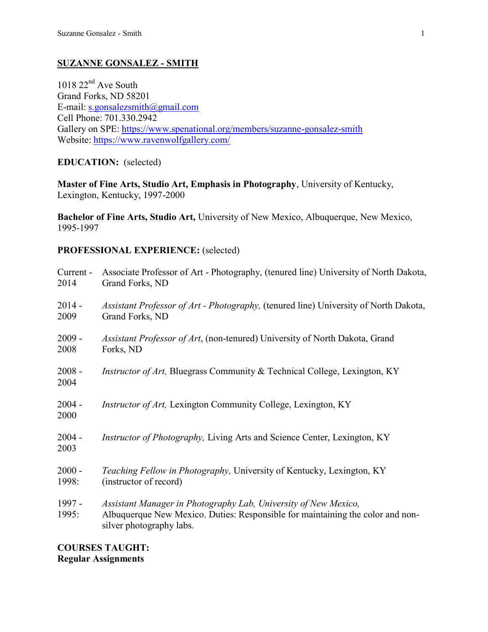# **SUZANNE GONSALEZ - SMITH**

 $1018$   $22<sup>nd</sup>$  Ave South Grand Forks, ND 58201 E-mail: [s.gonsalezsmith@gmail.com](mailto:suzanne.gonsalez@und.edu) Cell Phone: 701.330.2942 Gallery on SPE:<https://www.spenational.org/members/suzanne-gonsalez-smith> Website:<https://www.ravenwolfgallery.com/>

# **EDUCATION:** (selected)

**Master of Fine Arts, Studio Art, Emphasis in Photography**, University of Kentucky, Lexington, Kentucky, 1997-2000

**Bachelor of Fine Arts, Studio Art,** University of New Mexico, Albuquerque, New Mexico, 1995-1997

# **PROFESSIONAL EXPERIENCE:** (selected)

| Current -        | Associate Professor of Art - Photography, (tenured line) University of North Dakota,                                                                                          |
|------------------|-------------------------------------------------------------------------------------------------------------------------------------------------------------------------------|
| 2014             | Grand Forks, ND                                                                                                                                                               |
| $2014 -$         | <i>Assistant Professor of Art - Photography, (tenured line)</i> University of North Dakota,                                                                                   |
| 2009             | Grand Forks, ND                                                                                                                                                               |
| $2009 -$         | Assistant Professor of Art, (non-tenured) University of North Dakota, Grand                                                                                                   |
| 2008             | Forks, ND                                                                                                                                                                     |
| $2008 -$<br>2004 | <i>Instructor of Art</i> , Bluegrass Community & Technical College, Lexington, KY                                                                                             |
| $2004 -$<br>2000 | <i>Instructor of Art</i> , Lexington Community College, Lexington, KY                                                                                                         |
| $2004 -$<br>2003 | <i>Instructor of Photography, Living Arts and Science Center, Lexington, KY</i>                                                                                               |
| $2000 -$         | Teaching Fellow in Photography, University of Kentucky, Lexington, KY                                                                                                         |
| 1998:            | (instructor of record)                                                                                                                                                        |
| 1997 -<br>1995:  | Assistant Manager in Photography Lab, University of New Mexico,<br>Albuquerque New Mexico. Duties: Responsible for maintaining the color and non-<br>silver photography labs. |

### **COURSES TAUGHT: Regular Assignments**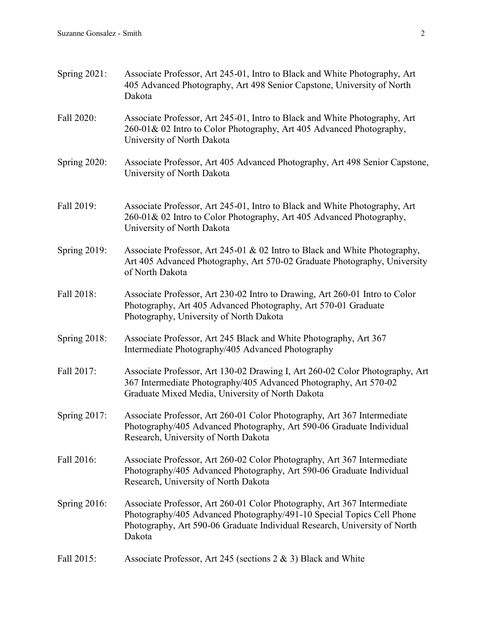| Spring $2021$ :     | Associate Professor, Art 245-01, Intro to Black and White Photography, Art<br>405 Advanced Photography, Art 498 Senior Capstone, University of North<br>Dakota                                                                          |
|---------------------|-----------------------------------------------------------------------------------------------------------------------------------------------------------------------------------------------------------------------------------------|
| Fall 2020:          | Associate Professor, Art 245-01, Intro to Black and White Photography, Art<br>260-01& 02 Intro to Color Photography, Art 405 Advanced Photography,<br>University of North Dakota                                                        |
| <b>Spring 2020:</b> | Associate Professor, Art 405 Advanced Photography, Art 498 Senior Capstone,<br>University of North Dakota                                                                                                                               |
| Fall 2019:          | Associate Professor, Art 245-01, Intro to Black and White Photography, Art<br>260-01& 02 Intro to Color Photography, Art 405 Advanced Photography,<br>University of North Dakota                                                        |
| Spring 2019:        | Associate Professor, Art 245-01 & 02 Intro to Black and White Photography,<br>Art 405 Advanced Photography, Art 570-02 Graduate Photography, University<br>of North Dakota                                                              |
| Fall 2018:          | Associate Professor, Art 230-02 Intro to Drawing, Art 260-01 Intro to Color<br>Photography, Art 405 Advanced Photography, Art 570-01 Graduate<br>Photography, University of North Dakota                                                |
| <b>Spring 2018:</b> | Associate Professor, Art 245 Black and White Photography, Art 367<br>Intermediate Photography/405 Advanced Photography                                                                                                                  |
| Fall 2017:          | Associate Professor, Art 130-02 Drawing I, Art 260-02 Color Photography, Art<br>367 Intermediate Photography/405 Advanced Photography, Art 570-02<br>Graduate Mixed Media, University of North Dakota                                   |
| Spring $2017$ :     | Associate Professor, Art 260-01 Color Photography, Art 367 Intermediate<br>Photography/405 Advanced Photography, Art 590-06 Graduate Individual<br>Research, University of North Dakota                                                 |
| Fall 2016:          | Associate Professor, Art 260-02 Color Photography, Art 367 Intermediate<br>Photography/405 Advanced Photography, Art 590-06 Graduate Individual<br>Research, University of North Dakota                                                 |
| Spring $2016$ :     | Associate Professor, Art 260-01 Color Photography, Art 367 Intermediate<br>Photography/405 Advanced Photography/491-10 Special Topics Cell Phone<br>Photography, Art 590-06 Graduate Individual Research, University of North<br>Dakota |
| Fall 2015:          | Associate Professor, Art 245 (sections $2 \& 3$ ) Black and White                                                                                                                                                                       |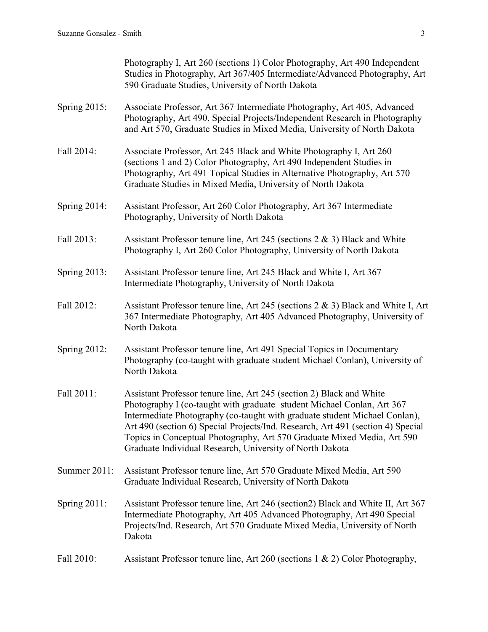|                     | Photography I, Art 260 (sections 1) Color Photography, Art 490 Independent<br>Studies in Photography, Art 367/405 Intermediate/Advanced Photography, Art<br>590 Graduate Studies, University of North Dakota                                                                                                                                                                                                                                           |
|---------------------|--------------------------------------------------------------------------------------------------------------------------------------------------------------------------------------------------------------------------------------------------------------------------------------------------------------------------------------------------------------------------------------------------------------------------------------------------------|
| Spring 2015:        | Associate Professor, Art 367 Intermediate Photography, Art 405, Advanced<br>Photography, Art 490, Special Projects/Independent Research in Photography<br>and Art 570, Graduate Studies in Mixed Media, University of North Dakota                                                                                                                                                                                                                     |
| Fall 2014:          | Associate Professor, Art 245 Black and White Photography I, Art 260<br>(sections 1 and 2) Color Photography, Art 490 Independent Studies in<br>Photography, Art 491 Topical Studies in Alternative Photography, Art 570<br>Graduate Studies in Mixed Media, University of North Dakota                                                                                                                                                                 |
| Spring $2014$ :     | Assistant Professor, Art 260 Color Photography, Art 367 Intermediate<br>Photography, University of North Dakota                                                                                                                                                                                                                                                                                                                                        |
| Fall 2013:          | Assistant Professor tenure line, Art 245 (sections $2 \& 3$ ) Black and White<br>Photography I, Art 260 Color Photography, University of North Dakota                                                                                                                                                                                                                                                                                                  |
| <b>Spring 2013:</b> | Assistant Professor tenure line, Art 245 Black and White I, Art 367<br>Intermediate Photography, University of North Dakota                                                                                                                                                                                                                                                                                                                            |
| Fall 2012:          | Assistant Professor tenure line, Art 245 (sections 2 & 3) Black and White I, Art<br>367 Intermediate Photography, Art 405 Advanced Photography, University of<br>North Dakota                                                                                                                                                                                                                                                                          |
| <b>Spring 2012:</b> | Assistant Professor tenure line, Art 491 Special Topics in Documentary<br>Photography (co-taught with graduate student Michael Conlan), University of<br>North Dakota                                                                                                                                                                                                                                                                                  |
| Fall 2011:          | Assistant Professor tenure line, Art 245 (section 2) Black and White<br>Photography I (co-taught with graduate student Michael Conlan, Art 367<br>Intermediate Photography (co-taught with graduate student Michael Conlan).<br>Art 490 (section 6) Special Projects/Ind. Research, Art 491 (section 4) Special<br>Topics in Conceptual Photography, Art 570 Graduate Mixed Media, Art 590<br>Graduate Individual Research, University of North Dakota |
| Summer 2011:        | Assistant Professor tenure line, Art 570 Graduate Mixed Media, Art 590<br>Graduate Individual Research, University of North Dakota                                                                                                                                                                                                                                                                                                                     |
| Spring $2011$ :     | Assistant Professor tenure line, Art 246 (section2) Black and White II, Art 367<br>Intermediate Photography, Art 405 Advanced Photography, Art 490 Special<br>Projects/Ind. Research, Art 570 Graduate Mixed Media, University of North<br>Dakota                                                                                                                                                                                                      |
| Fall 2010:          | Assistant Professor tenure line, Art 260 (sections $1 \& 2$ ) Color Photography,                                                                                                                                                                                                                                                                                                                                                                       |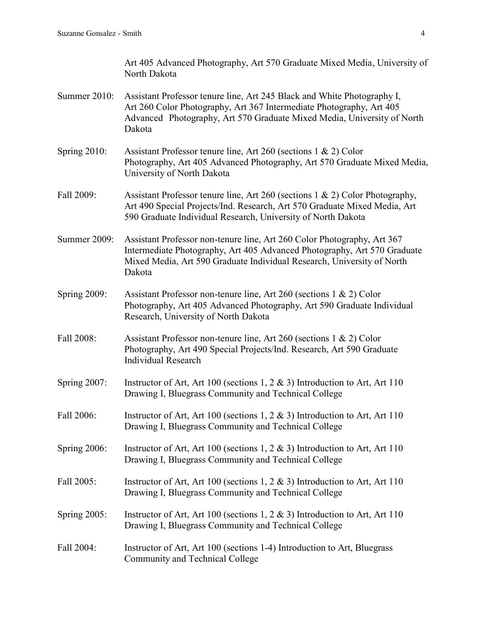- Summer 2010: Assistant Professor tenure line, Art 245 Black and White Photography I, Art 260 Color Photography, Art 367 Intermediate Photography, Art 405 Advanced Photography, Art 570 Graduate Mixed Media, University of North Dakota
- Spring 2010: Assistant Professor tenure line, Art 260 (sections 1 & 2) Color Photography, Art 405 Advanced Photography, Art 570 Graduate Mixed Media, University of North Dakota
- Fall 2009: Assistant Professor tenure line, Art 260 (sections 1 & 2) Color Photography, Art 490 Special Projects/Ind. Research, Art 570 Graduate Mixed Media, Art 590 Graduate Individual Research, University of North Dakota
- Summer 2009: Assistant Professor non-tenure line, Art 260 Color Photography, Art 367 Intermediate Photography, Art 405 Advanced Photography, Art 570 Graduate Mixed Media, Art 590 Graduate Individual Research, University of North Dakota
- Spring 2009: Assistant Professor non-tenure line, Art 260 (sections 1 & 2) Color Photography, Art 405 Advanced Photography, Art 590 Graduate Individual Research, University of North Dakota
- Fall 2008: Assistant Professor non-tenure line, Art 260 (sections 1 & 2) Color Photography, Art 490 Special Projects/Ind. Research, Art 590 Graduate Individual Research
- Spring 2007: Instructor of Art, Art 100 (sections 1, 2 & 3) Introduction to Art, Art 110 Drawing I, Bluegrass Community and Technical College
- Fall 2006: Instructor of Art, Art 100 (sections 1, 2 & 3) Introduction to Art, Art 110 Drawing I, Bluegrass Community and Technical College
- Spring 2006: Instructor of Art, Art 100 (sections 1, 2 & 3) Introduction to Art, Art 110 Drawing I, Bluegrass Community and Technical College
- Fall 2005: Instructor of Art, Art 100 (sections 1, 2 & 3) Introduction to Art, Art 110 Drawing I, Bluegrass Community and Technical College
- Spring 2005: Instructor of Art, Art 100 (sections 1, 2 & 3) Introduction to Art, Art 110 Drawing I, Bluegrass Community and Technical College
- Fall 2004: Instructor of Art, Art 100 (sections 1-4) Introduction to Art, Bluegrass Community and Technical College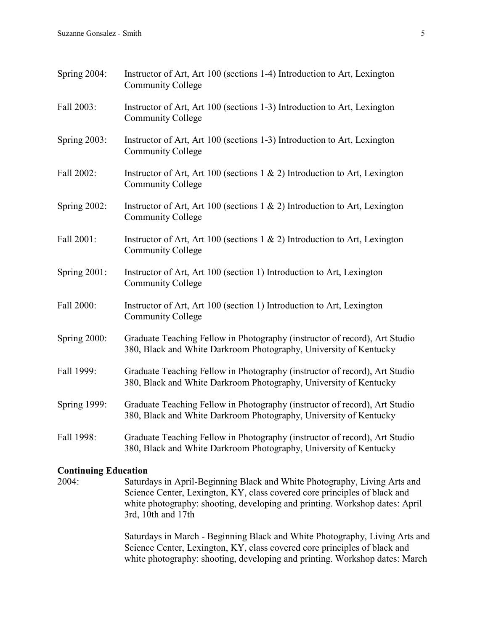| Spring $2004$ :     | Instructor of Art, Art 100 (sections 1-4) Introduction to Art, Lexington<br><b>Community College</b>                                            |
|---------------------|-------------------------------------------------------------------------------------------------------------------------------------------------|
| Fall 2003:          | Instructor of Art, Art 100 (sections 1-3) Introduction to Art, Lexington<br><b>Community College</b>                                            |
| <b>Spring 2003:</b> | Instructor of Art, Art 100 (sections 1-3) Introduction to Art, Lexington<br><b>Community College</b>                                            |
| Fall 2002:          | Instructor of Art, Art 100 (sections $1 \& 2$ ) Introduction to Art, Lexington<br><b>Community College</b>                                      |
| <b>Spring 2002:</b> | Instructor of Art, Art 100 (sections $1 \& 2$ ) Introduction to Art, Lexington<br><b>Community College</b>                                      |
| Fall 2001:          | Instructor of Art, Art 100 (sections $1 \& 2$ ) Introduction to Art, Lexington<br><b>Community College</b>                                      |
| <b>Spring 2001:</b> | Instructor of Art, Art 100 (section 1) Introduction to Art, Lexington<br><b>Community College</b>                                               |
| Fall 2000:          | Instructor of Art, Art 100 (section 1) Introduction to Art, Lexington<br><b>Community College</b>                                               |
| Spring 2000:        | Graduate Teaching Fellow in Photography (instructor of record), Art Studio<br>380, Black and White Darkroom Photography, University of Kentucky |
| Fall 1999:          | Graduate Teaching Fellow in Photography (instructor of record), Art Studio<br>380, Black and White Darkroom Photography, University of Kentucky |
| <b>Spring 1999:</b> | Graduate Teaching Fellow in Photography (instructor of record), Art Studio<br>380, Black and White Darkroom Photography, University of Kentucky |
| Fall 1998:          | Graduate Teaching Fellow in Photography (instructor of record), Art Studio<br>380, Black and White Darkroom Photography, University of Kentucky |

# **Continuing Education**

2004: Saturdays in April-Beginning Black and White Photography, Living Arts and Science Center, Lexington, KY, class covered core principles of black and white photography: shooting, developing and printing. Workshop dates: April 3rd, 10th and 17th

> Saturdays in March - Beginning Black and White Photography, Living Arts and Science Center, Lexington, KY, class covered core principles of black and white photography: shooting, developing and printing. Workshop dates: March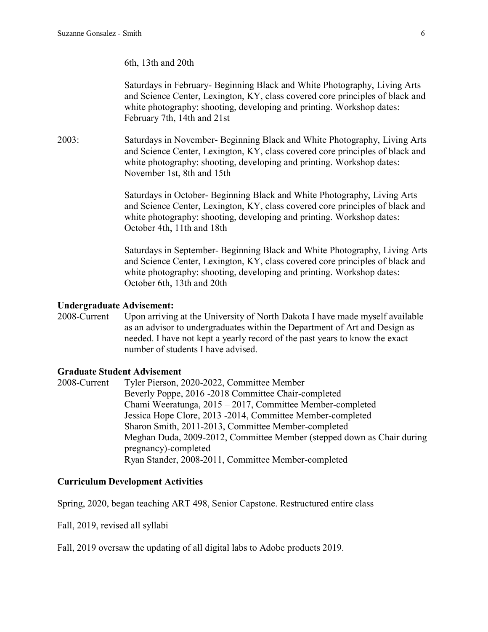### 6th, 13th and 20th

Saturdays in February- Beginning Black and White Photography, Living Arts and Science Center, Lexington, KY, class covered core principles of black and white photography: shooting, developing and printing. Workshop dates: February 7th, 14th and 21st

2003: Saturdays in November- Beginning Black and White Photography, Living Arts and Science Center, Lexington, KY, class covered core principles of black and white photography: shooting, developing and printing. Workshop dates: November 1st, 8th and 15th

> Saturdays in October- Beginning Black and White Photography, Living Arts and Science Center, Lexington, KY, class covered core principles of black and white photography: shooting, developing and printing. Workshop dates: October 4th, 11th and 18th

> Saturdays in September- Beginning Black and White Photography, Living Arts and Science Center, Lexington, KY, class covered core principles of black and white photography: shooting, developing and printing. Workshop dates: October 6th, 13th and 20th

#### **Undergraduate Advisement:**

2008-Current Upon arriving at the University of North Dakota I have made myself available as an advisor to undergraduates within the Department of Art and Design as needed. I have not kept a yearly record of the past years to know the exact number of students I have advised.

#### **Graduate Student Advisement**

2008-Current Tyler Pierson, 2020-2022, Committee Member Beverly Poppe, 2016 -2018 Committee Chair-completed Chami Weeratunga, 2015 – 2017, Committee Member-completed Jessica Hope Clore, 2013 -2014, Committee Member-completed Sharon Smith, 2011-2013, Committee Member-completed Meghan Duda, 2009-2012, Committee Member (stepped down as Chair during pregnancy)-completed Ryan Stander, 2008-2011, Committee Member-completed

### **Curriculum Development Activities**

Spring, 2020, began teaching ART 498, Senior Capstone. Restructured entire class

Fall, 2019, revised all syllabi

Fall, 2019 oversaw the updating of all digital labs to Adobe products 2019.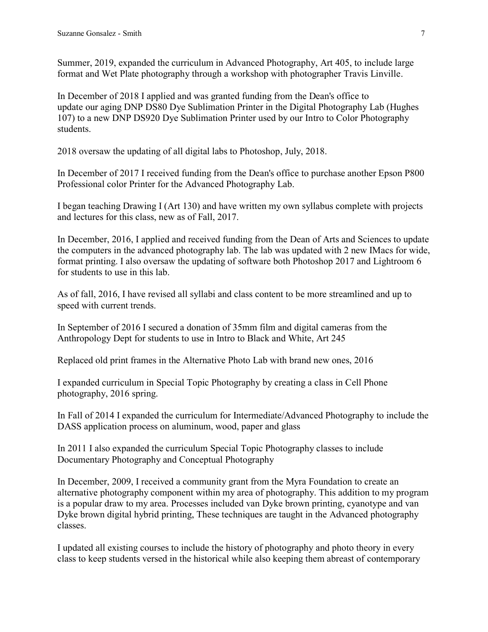Summer, 2019, expanded the curriculum in Advanced Photography, Art 405, to include large format and Wet Plate photography through a workshop with photographer Travis Linville.

In December of 2018 I applied and was granted funding from the Dean's office to update our aging DNP DS80 Dye Sublimation Printer in the Digital Photography Lab (Hughes 107) to a new DNP DS920 Dye Sublimation Printer used by our Intro to Color Photography students.

2018 oversaw the updating of all digital labs to Photoshop, July, 2018.

In December of 2017 I received funding from the Dean's office to purchase another Epson P800 Professional color Printer for the Advanced Photography Lab.

I began teaching Drawing I (Art 130) and have written my own syllabus complete with projects and lectures for this class, new as of Fall, 2017.

In December, 2016, I applied and received funding from the Dean of Arts and Sciences to update the computers in the advanced photography lab. The lab was updated with 2 new IMacs for wide, format printing. I also oversaw the updating of software both Photoshop 2017 and Lightroom 6 for students to use in this lab.

As of fall, 2016, I have revised all syllabi and class content to be more streamlined and up to speed with current trends.

In September of 2016 I secured a donation of 35mm film and digital cameras from the Anthropology Dept for students to use in Intro to Black and White, Art 245

Replaced old print frames in the Alternative Photo Lab with brand new ones, 2016

I expanded curriculum in Special Topic Photography by creating a class in Cell Phone photography, 2016 spring.

In Fall of 2014 I expanded the curriculum for Intermediate/Advanced Photography to include the DASS application process on aluminum, wood, paper and glass

In 2011 I also expanded the curriculum Special Topic Photography classes to include Documentary Photography and Conceptual Photography

In December, 2009, I received a community grant from the Myra Foundation to create an alternative photography component within my area of photography. This addition to my program is a popular draw to my area. Processes included van Dyke brown printing, cyanotype and van Dyke brown digital hybrid printing, These techniques are taught in the Advanced photography classes.

I updated all existing courses to include the history of photography and photo theory in every class to keep students versed in the historical while also keeping them abreast of contemporary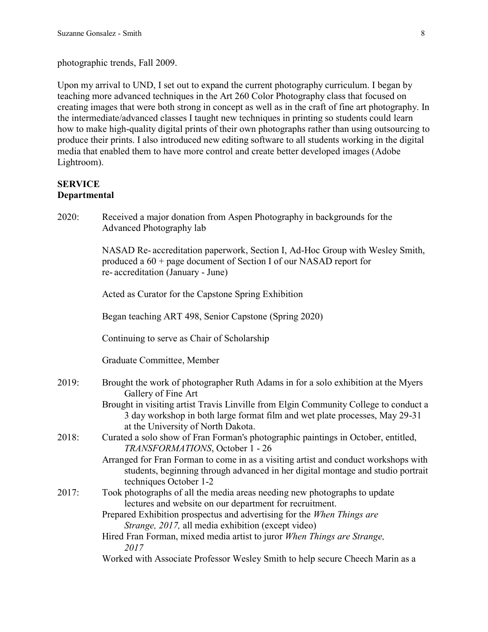photographic trends, Fall 2009.

Upon my arrival to UND, I set out to expand the current photography curriculum. I began by teaching more advanced techniques in the Art 260 Color Photography class that focused on creating images that were both strong in concept as well as in the craft of fine art photography. In the intermediate/advanced classes I taught new techniques in printing so students could learn how to make high-quality digital prints of their own photographs rather than using outsourcing to produce their prints. I also introduced new editing software to all students working in the digital media that enabled them to have more control and create better developed images (Adobe Lightroom).

# **SERVICE Departmental**

2020: Received a major donation from Aspen Photography in backgrounds for the Advanced Photography lab

> NASAD Re- accreditation paperwork, Section I, Ad-Hoc Group with Wesley Smith, produced a 60 + page document of Section I of our NASAD report for re- accreditation (January - June)

Acted as Curator for the Capstone Spring Exhibition

Began teaching ART 498, Senior Capstone (Spring 2020)

Continuing to serve as Chair of Scholarship

Graduate Committee, Member

| 2019: | Brought the work of photographer Ruth Adams in for a solo exhibition at the Myers<br>Gallery of Fine Art                                                            |
|-------|---------------------------------------------------------------------------------------------------------------------------------------------------------------------|
|       | Brought in visiting artist Travis Linville from Elgin Community College to conduct a<br>3 day workshop in both large format film and wet plate processes, May 29-31 |
| 2018: | at the University of North Dakota.<br>Curated a solo show of Fran Forman's photographic paintings in October, entitled,                                             |
|       | TRANSFORMATIONS, October 1 - 26                                                                                                                                     |
|       | Arranged for Fran Forman to come in as a visiting artist and conduct workshops with                                                                                 |
|       | students, beginning through advanced in her digital montage and studio portrait<br>techniques October 1-2                                                           |
| 2017: | Took photographs of all the media areas needing new photographs to update                                                                                           |
|       | lectures and website on our department for recruitment.                                                                                                             |
|       | Prepared Exhibition prospectus and advertising for the When Things are                                                                                              |
|       | <i>Strange, 2017, all media exhibition (except video)</i>                                                                                                           |
|       | Hired Fran Forman, mixed media artist to juror When Things are Strange,                                                                                             |
|       |                                                                                                                                                                     |

*2017*

Worked with Associate Professor Wesley Smith to help secure Cheech Marin as a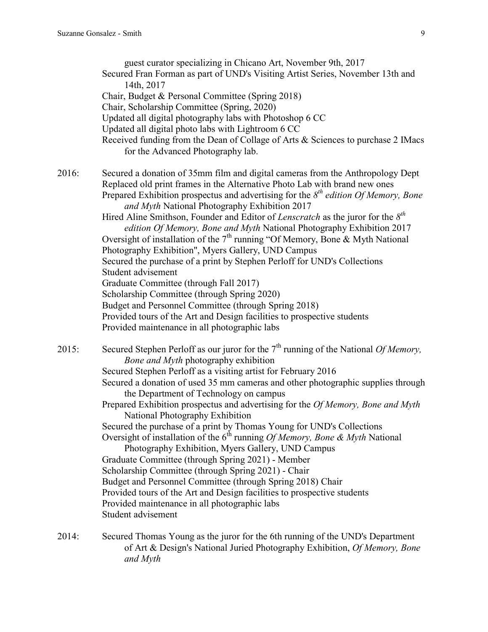guest curator specializing in Chicano Art, November 9th, 2017 Secured Fran Forman as part of UND's Visiting Artist Series, November 13th and 14th, 2017 Chair, Budget & Personal Committee (Spring 2018) Chair, Scholarship Committee (Spring, 2020) Updated all digital photography labs with Photoshop 6 CC Updated all digital photo labs with Lightroom 6 CC Received funding from the Dean of Collage of Arts & Sciences to purchase 2 IMacs for the Advanced Photography lab. 2016: Secured a donation of 35mm film and digital cameras from the Anthropology Dept Replaced old print frames in the Alternative Photo Lab with brand new ones Prepared Exhibition prospectus and advertising for the 8<sup>th</sup> edition Of Memory, Bone *and Myth* National Photography Exhibition 2017 Hired Aline Smithson, Founder and Editor of *Lenscratch* as the juror for the *8 th edition Of Memory, Bone and Myth* National Photography Exhibition 2017 Oversight of installation of the  $7<sup>th</sup>$  running "Of Memory, Bone & Myth National Photography Exhibition", Myers Gallery, UND Campus Secured the purchase of a print by Stephen Perloff for UND's Collections Student advisement Graduate Committee (through Fall 2017) Scholarship Committee (through Spring 2020) Budget and Personnel Committee (through Spring 2018) Provided tours of the Art and Design facilities to prospective students Provided maintenance in all photographic labs 2015: Secured Stephen Perloff as our juror for the 7<sup>th</sup> running of the National *Of Memory*, *Bone and Myth* photography exhibition Secured Stephen Perloff as a visiting artist for February 2016 Secured a donation of used 35 mm cameras and other photographic supplies through the Department of Technology on campus Prepared Exhibition prospectus and advertising for the *Of Memory, Bone and Myth* National Photography Exhibition Secured the purchase of a print by Thomas Young for UND's Collections Oversight of installation of the 6<sup>th</sup> running *Of Memory, Bone & Myth* National Photography Exhibition, Myers Gallery, UND Campus Graduate Committee (through Spring 2021) - Member Scholarship Committee (through Spring 2021) - Chair Budget and Personnel Committee (through Spring 2018) Chair

Provided tours of the Art and Design facilities to prospective students

Provided maintenance in all photographic labs

Student advisement

2014: Secured Thomas Young as the juror for the 6th running of the UND's Department of Art & Design's National Juried Photography Exhibition, *Of Memory, Bone and Myth*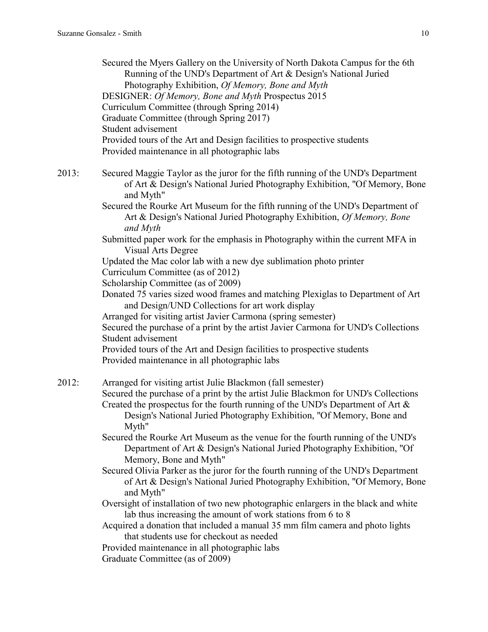Secured the Myers Gallery on the University of North Dakota Campus for the 6th Running of the UND's Department of Art & Design's National Juried Photography Exhibition, *Of Memory, Bone and Myth* DESIGNER: *Of Memory, Bone and Myth* Prospectus 2015 Curriculum Committee (through Spring 2014) Graduate Committee (through Spring 2017) Student advisement Provided tours of the Art and Design facilities to prospective students Provided maintenance in all photographic labs 2013: Secured Maggie Taylor as the juror for the fifth running of the UND's Department of Art & Design's National Juried Photography Exhibition, "Of Memory, Bone and Myth"

> Secured the Rourke Art Museum for the fifth running of the UND's Department of Art & Design's National Juried Photography Exhibition, *Of Memory, Bone and Myth*

> Submitted paper work for the emphasis in Photography within the current MFA in Visual Arts Degree

Updated the Mac color lab with a new dye sublimation photo printer

Curriculum Committee (as of 2012)

Scholarship Committee (as of 2009)

Donated 75 varies sized wood frames and matching Plexiglas to Department of Art and Design/UND Collections for art work display

Arranged for visiting artist Javier Carmona (spring semester)

Secured the purchase of a print by the artist Javier Carmona for UND's Collections Student advisement

Provided tours of the Art and Design facilities to prospective students Provided maintenance in all photographic labs

2012: Arranged for visiting artist Julie Blackmon (fall semester) Secured the purchase of a print by the artist Julie Blackmon for UND's Collections Created the prospectus for the fourth running of the UND's Department of Art  $\&$ Design's National Juried Photography Exhibition, "Of Memory, Bone and Myth"

> Secured the Rourke Art Museum as the venue for the fourth running of the UND's Department of Art & Design's National Juried Photography Exhibition, "Of Memory, Bone and Myth"

Secured Olivia Parker as the juror for the fourth running of the UND's Department of Art & Design's National Juried Photography Exhibition, "Of Memory, Bone and Myth"

Oversight of installation of two new photographic enlargers in the black and white lab thus increasing the amount of work stations from 6 to 8

Acquired a donation that included a manual 35 mm film camera and photo lights that students use for checkout as needed

Provided maintenance in all photographic labs

Graduate Committee (as of 2009)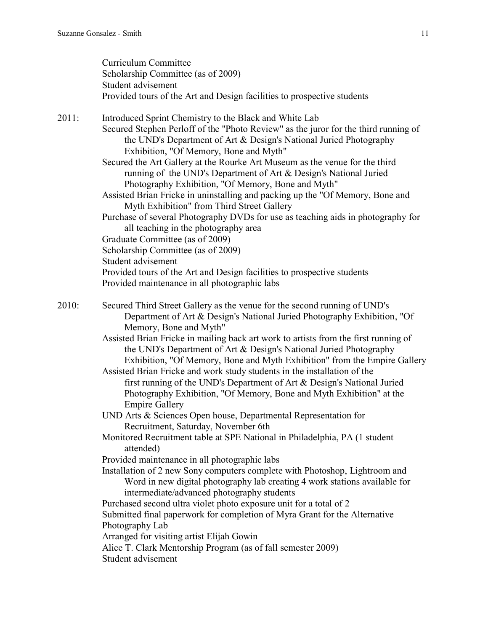|       | Curriculum Committee<br>Scholarship Committee (as of 2009)<br>Student advisement<br>Provided tours of the Art and Design facilities to prospective students                                                                                                                                                                                                                                                                                                                                                                                                                                                                                                                                                                                                                                                                                                                                                                                                                                                                                                                                                                                                                                                                                                                                            |
|-------|--------------------------------------------------------------------------------------------------------------------------------------------------------------------------------------------------------------------------------------------------------------------------------------------------------------------------------------------------------------------------------------------------------------------------------------------------------------------------------------------------------------------------------------------------------------------------------------------------------------------------------------------------------------------------------------------------------------------------------------------------------------------------------------------------------------------------------------------------------------------------------------------------------------------------------------------------------------------------------------------------------------------------------------------------------------------------------------------------------------------------------------------------------------------------------------------------------------------------------------------------------------------------------------------------------|
| 2011: | Introduced Sprint Chemistry to the Black and White Lab<br>Secured Stephen Perloff of the "Photo Review" as the juror for the third running of<br>the UND's Department of Art & Design's National Juried Photography<br>Exhibition, "Of Memory, Bone and Myth"<br>Secured the Art Gallery at the Rourke Art Museum as the venue for the third<br>running of the UND's Department of Art & Design's National Juried<br>Photography Exhibition, "Of Memory, Bone and Myth"<br>Assisted Brian Fricke in uninstalling and packing up the "Of Memory, Bone and<br>Myth Exhibition" from Third Street Gallery<br>Purchase of several Photography DVDs for use as teaching aids in photography for<br>all teaching in the photography area<br>Graduate Committee (as of 2009)<br>Scholarship Committee (as of 2009)<br>Student advisement<br>Provided tours of the Art and Design facilities to prospective students                                                                                                                                                                                                                                                                                                                                                                                           |
|       | Provided maintenance in all photographic labs                                                                                                                                                                                                                                                                                                                                                                                                                                                                                                                                                                                                                                                                                                                                                                                                                                                                                                                                                                                                                                                                                                                                                                                                                                                          |
| 2010: | Secured Third Street Gallery as the venue for the second running of UND's<br>Department of Art & Design's National Juried Photography Exhibition, "Of<br>Memory, Bone and Myth"<br>Assisted Brian Fricke in mailing back art work to artists from the first running of<br>the UND's Department of Art & Design's National Juried Photography<br>Exhibition, "Of Memory, Bone and Myth Exhibition" from the Empire Gallery<br>Assisted Brian Fricke and work study students in the installation of the<br>first running of the UND's Department of Art & Design's National Juried<br>Photography Exhibition, "Of Memory, Bone and Myth Exhibition" at the<br><b>Empire Gallery</b><br>UND Arts & Sciences Open house, Departmental Representation for<br>Recruitment, Saturday, November 6th<br>Monitored Recruitment table at SPE National in Philadelphia, PA (1 student<br>attended)<br>Provided maintenance in all photographic labs<br>Installation of 2 new Sony computers complete with Photoshop, Lightroom and<br>Word in new digital photography lab creating 4 work stations available for<br>intermediate/advanced photography students<br>Purchased second ultra violet photo exposure unit for a total of 2<br>Submitted final paperwork for completion of Myra Grant for the Alternative |
|       | Photography Lab<br>Arranged for visiting artist Elijah Gowin<br>Alice T. Clark Mentorship Program (as of fall semester 2009)<br>Student advisement                                                                                                                                                                                                                                                                                                                                                                                                                                                                                                                                                                                                                                                                                                                                                                                                                                                                                                                                                                                                                                                                                                                                                     |
|       |                                                                                                                                                                                                                                                                                                                                                                                                                                                                                                                                                                                                                                                                                                                                                                                                                                                                                                                                                                                                                                                                                                                                                                                                                                                                                                        |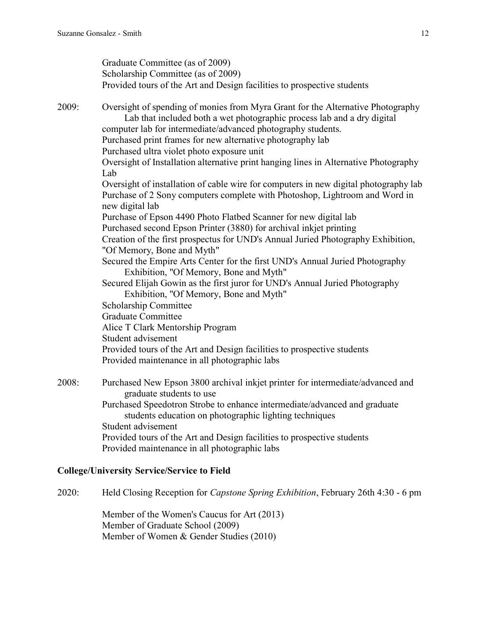Graduate Committee (as of 2009) Scholarship Committee (as of 2009) Provided tours of the Art and Design facilities to prospective students 2009: Oversight of spending of monies from Myra Grant for the Alternative Photography Lab that included both a wet photographic process lab and a dry digital computer lab for intermediate/advanced photography students. Purchased print frames for new alternative photography lab Purchased ultra violet photo exposure unit Oversight of Installation alternative print hanging lines in Alternative Photography Lab. Oversight of installation of cable wire for computers in new digital photography lab Purchase of 2 Sony computers complete with Photoshop, Lightroom and Word in new digital lab Purchase of Epson 4490 Photo Flatbed Scanner for new digital lab Purchased second Epson Printer (3880) for archival inkjet printing Creation of the first prospectus for UND's Annual Juried Photography Exhibition, "Of Memory, Bone and Myth" Secured the Empire Arts Center for the first UND's Annual Juried Photography Exhibition, "Of Memory, Bone and Myth" Secured Elijah Gowin as the first juror for UND's Annual Juried Photography Exhibition, "Of Memory, Bone and Myth" Scholarship Committee Graduate Committee Alice T Clark Mentorship Program Student advisement Provided tours of the Art and Design facilities to prospective students Provided maintenance in all photographic labs 2008: Purchased New Epson 3800 archival inkjet printer for intermediate/advanced and graduate students to use

Purchased Speedotron Strobe to enhance intermediate/advanced and graduate students education on photographic lighting techniques Student advisement Provided tours of the Art and Design facilities to prospective students Provided maintenance in all photographic labs

### **College/University Service/Service to Field**

2020: Held Closing Reception for *Capstone Spring Exhibition*, February 26th 4:30 - 6 pm

Member of the Women's Caucus for Art (2013) Member of Graduate School (2009) Member of Women & Gender Studies (2010)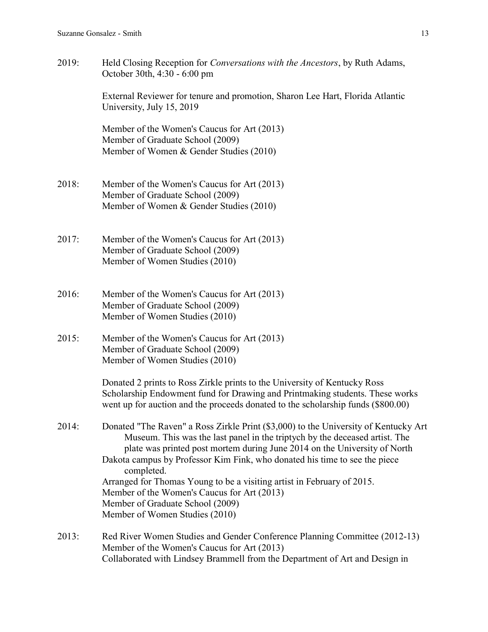2019: Held Closing Reception for *Conversations with the Ancestors*, by Ruth Adams, October 30th, 4:30 - 6:00 pm

> External Reviewer for tenure and promotion, Sharon Lee Hart, Florida Atlantic University, July 15, 2019

Member of the Women's Caucus for Art (2013) Member of Graduate School (2009) Member of Women & Gender Studies (2010)

- 2018: Member of the Women's Caucus for Art (2013) Member of Graduate School (2009) Member of Women & Gender Studies (2010)
- 2017: Member of the Women's Caucus for Art (2013) Member of Graduate School (2009) Member of Women Studies (2010)
- 2016: Member of the Women's Caucus for Art (2013) Member of Graduate School (2009) Member of Women Studies (2010)
- 2015: Member of the Women's Caucus for Art (2013) Member of Graduate School (2009) Member of Women Studies (2010)

Donated 2 prints to Ross Zirkle prints to the University of Kentucky Ross Scholarship Endowment fund for Drawing and Printmaking students. These works went up for auction and the proceeds donated to the scholarship funds (\$800.00)

- 2014: Donated "The Raven" a Ross Zirkle Print (\$3,000) to the University of Kentucky Art Museum. This was the last panel in the triptych by the deceased artist. The plate was printed post mortem during June 2014 on the University of North Dakota campus by Professor Kim Fink, who donated his time to see the piece completed. Arranged for Thomas Young to be a visiting artist in February of 2015. Member of the Women's Caucus for Art (2013) Member of Graduate School (2009) Member of Women Studies (2010)
- 2013: Red River Women Studies and Gender Conference Planning Committee (2012-13) Member of the Women's Caucus for Art (2013) Collaborated with Lindsey Brammell from the Department of Art and Design in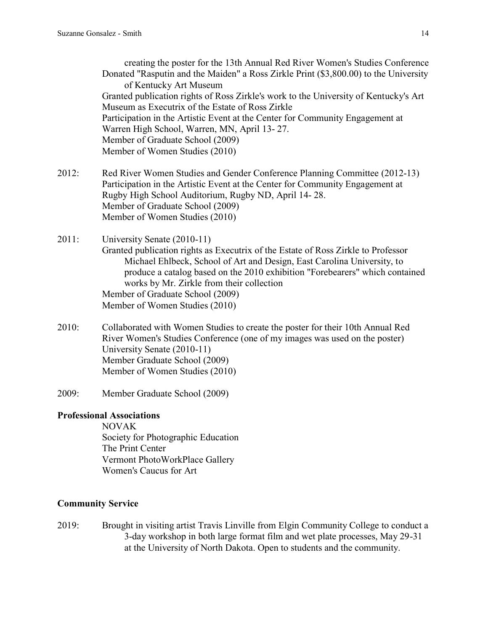creating the poster for the 13th Annual Red River Women's Studies Conference Donated "Rasputin and the Maiden" a Ross Zirkle Print (\$3,800.00) to the University of Kentucky Art Museum Granted publication rights of Ross Zirkle's work to the University of Kentucky's Art Museum as Executrix of the Estate of Ross Zirkle Participation in the Artistic Event at the Center for Community Engagement at Warren High School, Warren, MN, April 13- 27. Member of Graduate School (2009) Member of Women Studies (2010)

2012: Red River Women Studies and Gender Conference Planning Committee (2012-13) Participation in the Artistic Event at the Center for Community Engagement at Rugby High School Auditorium, Rugby ND, April 14- 28. Member of Graduate School (2009) Member of Women Studies (2010)

2011: University Senate (2010-11)

- Granted publication rights as Executrix of the Estate of Ross Zirkle to Professor Michael Ehlbeck, School of Art and Design, East Carolina University, to produce a catalog based on the 2010 exhibition "Forebearers" which contained works by Mr. Zirkle from their collection Member of Graduate School (2009) Member of Women Studies (2010)
- 2010: Collaborated with Women Studies to create the poster for their 10th Annual Red River Women's Studies Conference (one of my images was used on the poster) University Senate (2010-11) Member Graduate School (2009) Member of Women Studies (2010)
- 2009: Member Graduate School (2009)

### **Professional Associations**

NOVAK Society for Photographic Education The Print Center Vermont PhotoWorkPlace Gallery Women's Caucus for Art

### **Community Service**

2019: Brought in visiting artist Travis Linville from Elgin Community College to conduct a 3-day workshop in both large format film and wet plate processes, May 29-31 at the University of North Dakota. Open to students and the community.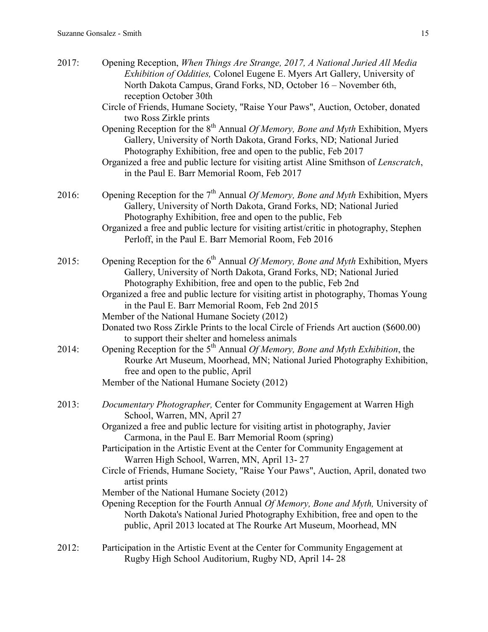| 2017: | Opening Reception, When Things Are Strange, 2017, A National Juried All Media<br>Exhibition of Oddities, Colonel Eugene E. Myers Art Gallery, University of<br>North Dakota Campus, Grand Forks, ND, October 16 - November 6th,<br>reception October 30th<br>Circle of Friends, Humane Society, "Raise Your Paws", Auction, October, donated<br>two Ross Zirkle prints                                                                                                                                                                                                                                                                                                                                                                                                         |
|-------|--------------------------------------------------------------------------------------------------------------------------------------------------------------------------------------------------------------------------------------------------------------------------------------------------------------------------------------------------------------------------------------------------------------------------------------------------------------------------------------------------------------------------------------------------------------------------------------------------------------------------------------------------------------------------------------------------------------------------------------------------------------------------------|
|       | Opening Reception for the 8 <sup>th</sup> Annual <i>Of Memory, Bone and Myth</i> Exhibition, Myers<br>Gallery, University of North Dakota, Grand Forks, ND; National Juried<br>Photography Exhibition, free and open to the public, Feb 2017<br>Organized a free and public lecture for visiting artist Aline Smithson of Lenscratch,<br>in the Paul E. Barr Memorial Room, Feb 2017                                                                                                                                                                                                                                                                                                                                                                                           |
| 2016: | Opening Reception for the $7th$ Annual <i>Of Memory, Bone and Myth</i> Exhibition, Myers<br>Gallery, University of North Dakota, Grand Forks, ND; National Juried<br>Photography Exhibition, free and open to the public, Feb<br>Organized a free and public lecture for visiting artist/critic in photography, Stephen<br>Perloff, in the Paul E. Barr Memorial Room, Feb 2016                                                                                                                                                                                                                                                                                                                                                                                                |
| 2015: | Opening Reception for the 6 <sup>th</sup> Annual <i>Of Memory, Bone and Myth</i> Exhibition, Myers<br>Gallery, University of North Dakota, Grand Forks, ND; National Juried<br>Photography Exhibition, free and open to the public, Feb 2nd<br>Organized a free and public lecture for visiting artist in photography, Thomas Young<br>in the Paul E. Barr Memorial Room, Feb 2nd 2015<br>Member of the National Humane Society (2012)<br>Donated two Ross Zirkle Prints to the local Circle of Friends Art auction (\$600.00)<br>to support their shelter and homeless animals                                                                                                                                                                                                |
| 2014: | Opening Reception for the $5th$ Annual <i>Of Memory</i> , <i>Bone and Myth Exhibition</i> , the<br>Rourke Art Museum, Moorhead, MN; National Juried Photography Exhibition,<br>free and open to the public, April<br>Member of the National Humane Society (2012)                                                                                                                                                                                                                                                                                                                                                                                                                                                                                                              |
| 2013: | Documentary Photographer, Center for Community Engagement at Warren High<br>School, Warren, MN, April 27<br>Organized a free and public lecture for visiting artist in photography, Javier<br>Carmona, in the Paul E. Barr Memorial Room (spring)<br>Participation in the Artistic Event at the Center for Community Engagement at<br>Warren High School, Warren, MN, April 13-27<br>Circle of Friends, Humane Society, "Raise Your Paws", Auction, April, donated two<br>artist prints<br>Member of the National Humane Society (2012)<br>Opening Reception for the Fourth Annual Of Memory, Bone and Myth, University of<br>North Dakota's National Juried Photography Exhibition, free and open to the<br>public, April 2013 located at The Rourke Art Museum, Moorhead, MN |
| 2012: | Participation in the Artistic Event at the Center for Community Engagement at<br>Rugby High School Auditorium, Rugby ND, April 14-28                                                                                                                                                                                                                                                                                                                                                                                                                                                                                                                                                                                                                                           |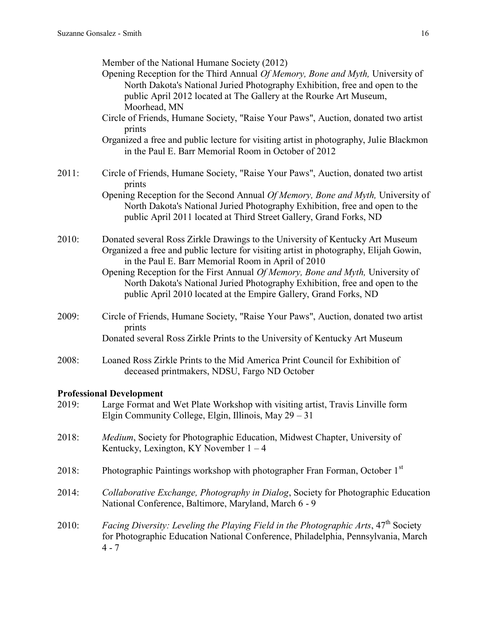Member of the National Humane Society (2012)

- Opening Reception for the Third Annual *Of Memory, Bone and Myth,* University of North Dakota's National Juried Photography Exhibition, free and open to the public April 2012 located at The Gallery at the Rourke Art Museum, Moorhead, MN
- Circle of Friends, Humane Society, "Raise Your Paws", Auction, donated two artist prints
- Organized a free and public lecture for visiting artist in photography, Julie Blackmon in the Paul E. Barr Memorial Room in October of 2012
- 2011: Circle of Friends, Humane Society, "Raise Your Paws", Auction, donated two artist prints

Opening Reception for the Second Annual *Of Memory, Bone and Myth,* University of North Dakota's National Juried Photography Exhibition, free and open to the public April 2011 located at Third Street Gallery, Grand Forks, ND

- 2010: Donated several Ross Zirkle Drawings to the University of Kentucky Art Museum Organized a free and public lecture for visiting artist in photography, Elijah Gowin, in the Paul E. Barr Memorial Room in April of 2010
	- Opening Reception for the First Annual *Of Memory, Bone and Myth,* University of North Dakota's National Juried Photography Exhibition, free and open to the public April 2010 located at the Empire Gallery, Grand Forks, ND
- 2009: Circle of Friends, Humane Society, "Raise Your Paws", Auction, donated two artist prints Donated several Ross Zirkle Prints to the University of Kentucky Art Museum
- 2008: Loaned Ross Zirkle Prints to the Mid America Print Council for Exhibition of deceased printmakers, NDSU, Fargo ND October

### **Professional Development**

| 2019: | Large Format and Wet Plate Workshop with visiting artist, Travis Linville form<br>Elgin Community College, Elgin, Illinois, May $29 - 31$                                                              |
|-------|--------------------------------------------------------------------------------------------------------------------------------------------------------------------------------------------------------|
| 2018: | <i>Medium</i> , Society for Photographic Education, Midwest Chapter, University of<br>Kentucky, Lexington, KY November $1 - 4$                                                                         |
| 2018: | Photographic Paintings workshop with photographer Fran Forman, October 1 <sup>st</sup>                                                                                                                 |
| 2014: | Collaborative Exchange, Photography in Dialog, Society for Photographic Education<br>National Conference, Baltimore, Maryland, March 6 - 9                                                             |
| 2010: | <i>Facing Diversity: Leveling the Playing Field in the Photographic Arts,</i> 47 <sup>th</sup> Society<br>for Photographic Education National Conference, Philadelphia, Pennsylvania, March<br>$4 - 7$ |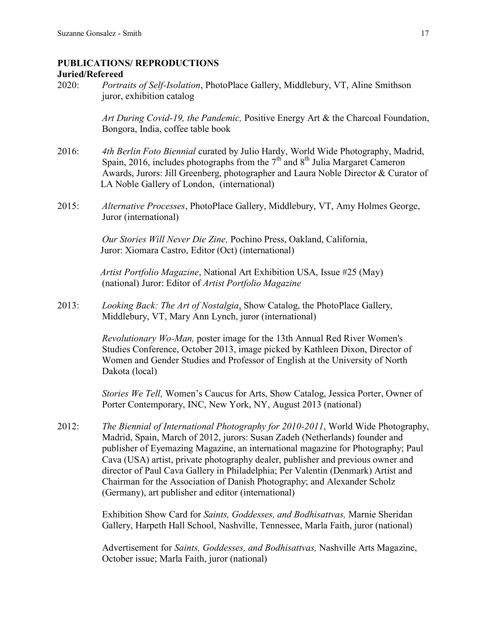### **PUBLICATIONS/ REPRODUCTIONS Juried/Refereed**

2020: *Portraits of Self-Isolation*, PhotoPlace Gallery, Middlebury, VT, Aline Smithson juror, exhibition catalog

> *Art During Covid-19, the Pandemic,* Positive Energy Art & the Charcoal Foundation, Bongora, India, coffee table book

- 2016: *4th Berlin Foto Biennial* curated by Julio Hardy, World Wide Photography, Madrid, Spain, 2016, includes photographs from the  $7<sup>th</sup>$  and  $8<sup>th</sup>$  Julia Margaret Cameron Awards, Jurors: Jill Greenberg, photographer and Laura Noble Director & Curator of LA Noble Gallery of London, (international)
- 2015: *Alternative Processes*, PhotoPlace Gallery, Middlebury, VT, Amy Holmes George, Juror (international)

*Our Stories Will Never Die Zine,* Pochino Press, Oakland, California, Juror: Xiomara Castro, Editor (Oct) (international)

 *Artist Portfolio Magazine*, National Art Exhibition USA, Issue #25 (May) (national) Juror: Editor of *Artist Portfolio Magazine*

2013: *Looking Back: The Art of Nostalgia*, Show Catalog, the PhotoPlace Gallery, Middlebury, VT, Mary Ann Lynch, juror (international)

> *Revolutionary Wo-Man,* poster image for the 13th Annual Red River Women's Studies Conference, October 2013, image picked by Kathleen Dixon, Director of Women and Gender Studies and Professor of English at the University of North Dakota (local)

*Stories We Tell,* Women's Caucus for Arts, Show Catalog, Jessica Porter, Owner of Porter Contemporary, INC, New York, NY, August 2013 (national)

2012: *The Biennial of International Photography for 2010-2011*, World Wide Photography, Madrid, Spain, March of 2012, jurors: Susan Zadeh (Netherlands) founder and publisher of Eyemazing Magazine, an international magazine for Photography; Paul Cava (USA) artist, private photography dealer, publisher and previous owner and director of Paul Cava Gallery in Philadelphia; Per Valentin (Denmark) Artist and Chairman for the Association of Danish Photography; and Alexander Scholz (Germany), art publisher and editor (international)

> Exhibition Show Card for *Saints, Goddesses, and Bodhisattvas,* Marnie Sheridan Gallery, Harpeth Hall School, Nashville, Tennessee, Marla Faith, juror (national)

Advertisement for *Saints, Goddesses, and Bodhisattvas,* Nashville Arts Magazine, October issue; Marla Faith, juror (national)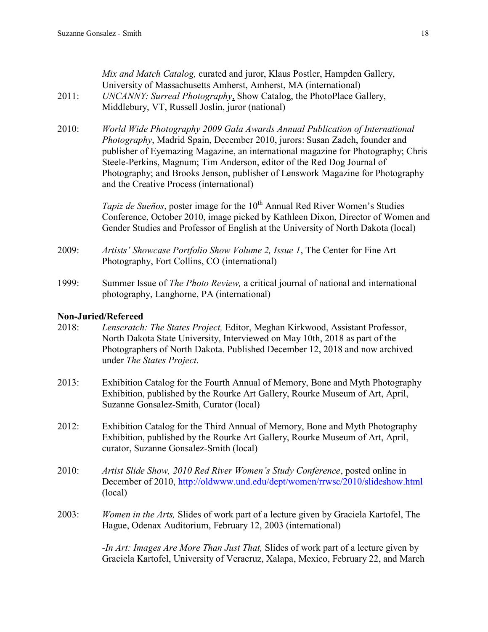| 2011: | Mix and Match Catalog, curated and juror, Klaus Postler, Hampden Gallery,<br>University of Massachusetts Amherst, Amherst, MA (international)<br>UNCANNY: Surreal Photography, Show Catalog, the PhotoPlace Gallery,<br>Middlebury, VT, Russell Joslin, juror (national)                                                                                                                                                                               |
|-------|--------------------------------------------------------------------------------------------------------------------------------------------------------------------------------------------------------------------------------------------------------------------------------------------------------------------------------------------------------------------------------------------------------------------------------------------------------|
| 2010: | World Wide Photography 2009 Gala Awards Annual Publication of International<br>Photography, Madrid Spain, December 2010, jurors: Susan Zadeh, founder and<br>publisher of Eyemazing Magazine, an international magazine for Photography; Chris<br>Steele-Perkins, Magnum; Tim Anderson, editor of the Red Dog Journal of<br>Photography; and Brooks Jenson, publisher of Lenswork Magazine for Photography<br>and the Creative Process (international) |
|       | <i>Tapiz de Sueños</i> , poster image for the 10 <sup>th</sup> Annual Red River Women's Studies<br>Conference, October 2010, image picked by Kathleen Dixon, Director of Women and<br>Gender Studies and Professor of English at the University of North Dakota (local)                                                                                                                                                                                |
| 2009: | Artists' Showcase Portfolio Show Volume 2, Issue 1, The Center for Fine Art<br>Photography, Fort Collins, CO (international)                                                                                                                                                                                                                                                                                                                           |
| 1000  | $\sim$ 1. 1. 0. 1. 1. 1. 1. 1.<br>$\mathbf{r}$ $\alpha$ $\mathbf{r}$ $\mathbf{n}$ $\alpha$ $\mathbf{r}$ $\mathbf{r}$                                                                                                                                                                                                                                                                                                                                   |

1999: Summer Issue of *The Photo Review,* a critical journal of national and international photography, Langhorne, PA (international)

## **Non-Juried/Refereed**

- 2018: *Lenscratch: The States Project,* Editor, Meghan Kirkwood, Assistant Professor, North Dakota State University, Interviewed on May 10th, 2018 as part of the Photographers of North Dakota. Published December 12, 2018 and now archived under *The States Project*.
- 2013: Exhibition Catalog for the Fourth Annual of Memory, Bone and Myth Photography Exhibition, published by the Rourke Art Gallery, Rourke Museum of Art, April, Suzanne Gonsalez-Smith, Curator (local)
- 2012: Exhibition Catalog for the Third Annual of Memory, Bone and Myth Photography Exhibition, published by the Rourke Art Gallery, Rourke Museum of Art, April, curator, Suzanne Gonsalez-Smith (local)
- 2010: *Artist Slide Show, 2010 Red River Women's Study Conference*, posted online in December of 2010,<http://oldwww.und.edu/dept/women/rrwsc/2010/slideshow.html> (local)
- 2003: *Women in the Arts,* Slides of work part of a lecture given by Graciela Kartofel, The Hague, Odenax Auditorium, February 12, 2003 (international)

*-In Art: Images Are More Than Just That,* Slides of work part of a lecture given by Graciela Kartofel, University of Veracruz, Xalapa, Mexico, February 22, and March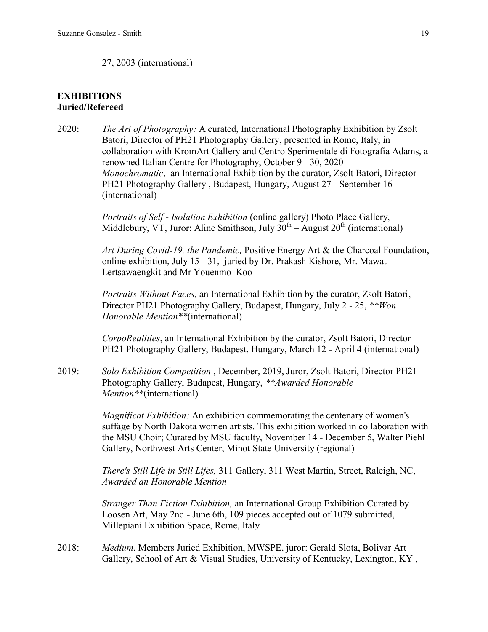### 27, 2003 (international)

## **EXHIBITIONS Juried/Refereed**

2020: *The Art of Photography:* A curated, International Photography Exhibition by Zsolt Batori, Director of PH21 Photography Gallery, presented in Rome, Italy, in collaboration with KromArt Gallery and Centro Sperimentale di Fotografia Adams, a renowned Italian Centre for Photography, October 9 - 30, 2020 *Monochromatic*, an International Exhibition by the curator, Zsolt Batori, Director PH21 Photography Gallery , Budapest, Hungary, August 27 - September 16 (international)

> *Portraits of Self - Isolation Exhibition* (online gallery) Photo Place Gallery, Middlebury, VT, Juror: Aline Smithson, July  $30^{th}$  – August  $20^{th}$  (international)

*Art During Covid-19, the Pandemic,* Positive Energy Art & the Charcoal Foundation, online exhibition, July 15 - 31, juried by Dr. Prakash Kishore, Mr. Mawat Lertsawaengkit and Mr Youenmo Koo

*Portraits Without Faces,* an International Exhibition by the curator, Zsolt Batori, Director PH21 Photography Gallery, Budapest, Hungary, July 2 - 25, *\*\*Won Honorable Mention\*\**(international)

*CorpoRealities*, an International Exhibition by the curator, Zsolt Batori, Director PH21 Photography Gallery, Budapest, Hungary, March 12 - April 4 (international)

2019: *Solo Exhibition Competition* , December, 2019, Juror, Zsolt Batori, Director PH21 Photography Gallery, Budapest, Hungary, *\*\*Awarded Honorable Mention\*\**(international)

> *Magnificat Exhibition:* An exhibition commemorating the centenary of women's suffage by North Dakota women artists. This exhibition worked in collaboration with the MSU Choir; Curated by MSU faculty, November 14 - December 5, Walter Piehl Gallery, Northwest Arts Center, Minot State University (regional)

*There's Still Life in Still Lifes,* 311 Gallery, 311 West Martin, Street, Raleigh, NC, *Awarded an Honorable Mention*

*Stranger Than Fiction Exhibition,* an International Group Exhibition Curated by Loosen Art, May 2nd - June 6th, 109 pieces accepted out of 1079 submitted, Millepiani Exhibition Space, Rome, Italy

2018: *Medium*, Members Juried Exhibition, MWSPE, juror: Gerald Slota, Bolivar Art Gallery, School of Art & Visual Studies, University of Kentucky, Lexington, KY,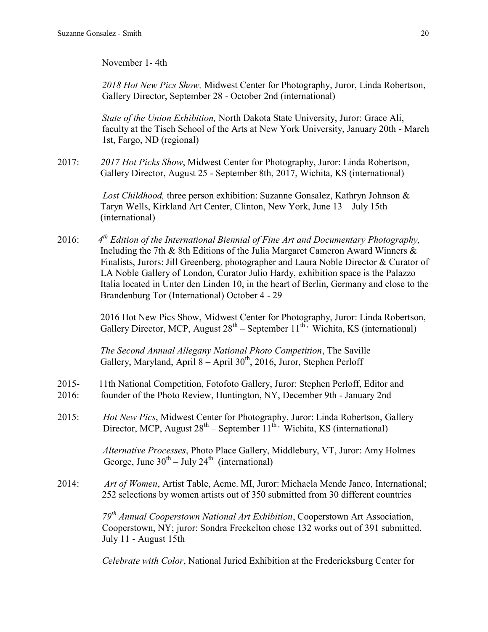November 1- 4th

*2018 Hot New Pics Show,* Midwest Center for Photography, Juror, Linda Robertson, Gallery Director, September 28 - October 2nd (international)

*State of the Union Exhibition,* North Dakota State University, Juror: Grace Ali, faculty at the Tisch School of the Arts at New York University, January 20th - March 1st, Fargo, ND (regional)

2017: *2017 Hot Picks Show*, Midwest Center for Photography, Juror: Linda Robertson, Gallery Director, August 25 - September 8th, 2017, Wichita, KS (international)

> *Lost Childhood,* three person exhibition: Suzanne Gonsalez, Kathryn Johnson & Taryn Wells, Kirkland Art Center, Clinton, New York, June 13 – July 15th (international)

2016: *4 th Edition of the International Biennial of Fine Art and Documentary Photography,* Including the 7th & 8th Editions of the Julia Margaret Cameron Award Winners & Finalists, Jurors: Jill Greenberg, photographer and Laura Noble Director & Curator of LA Noble Gallery of London, Curator Julio Hardy, exhibition space is the Palazzo Italia located in Unter den Linden 10, in the heart of Berlin, Germany and close to the Brandenburg Tor (International) October 4 - 29

 2016 Hot New Pics Show, Midwest Center for Photography, Juror: Linda Robertson, Gallery Director, MCP, August  $28<sup>th</sup>$  – September  $11<sup>th</sup>$ , Wichita, KS (international)

> *The Second Annual Allegany National Photo Competition*, The Saville Gallery, Maryland, April 8 – April 30<sup>th</sup>, 2016, Juror, Stephen Perloff

- 2015- 11th National Competition, Fotofoto Gallery, Juror: Stephen Perloff, Editor and
- 2016: founder of the Photo Review, Huntington, NY, December 9th January 2nd
- 2015: *Hot New Pics*, Midwest Center for Photography, Juror: Linda Robertson, Gallery Director, MCP, August  $28<sup>th</sup>$  – September  $11<sup>th</sup>$ , Wichita, KS (international)

 *Alternative Processes*, Photo Place Gallery, Middlebury, VT, Juror: Amy Holmes George, June  $30^{th}$  – July 24<sup>th</sup> (international)

2014: *Art of Women*, Artist Table, Acme. MI, Juror: Michaela Mende Janco, International; 252 selections by women artists out of 350 submitted from 30 different countries

> *79th Annual Cooperstown National Art Exhibition*, Cooperstown Art Association, Cooperstown, NY; juror: Sondra Freckelton chose 132 works out of 391 submitted, July 11 - August 15th

*Celebrate with Color*, National Juried Exhibition at the Fredericksburg Center for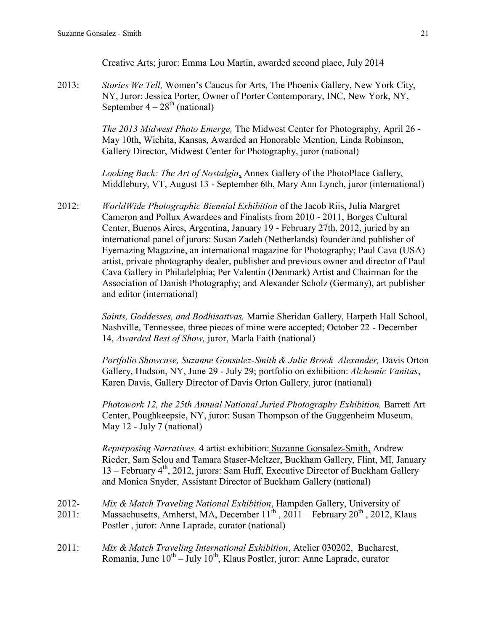Creative Arts; juror: Emma Lou Martin, awarded second place, July 2014

2013: *Stories We Tell,* Women's Caucus for Arts, The Phoenix Gallery, New York City, NY, Juror: Jessica Porter, Owner of Porter Contemporary, INC, New York, NY, September  $4 - 28<sup>th</sup>$  (national)

> *The 2013 Midwest Photo Emerge,* The Midwest Center for Photography, April 26 - May 10th, Wichita, Kansas, Awarded an Honorable Mention, Linda Robinson, Gallery Director, Midwest Center for Photography, juror (national)

*Looking Back: The Art of Nostalgia*, Annex Gallery of the PhotoPlace Gallery, Middlebury, VT, August 13 - September 6th, Mary Ann Lynch, juror (international)

2012: *WorldWide Photographic Biennial Exhibition* of the Jacob Riis, Julia Margret Cameron and Pollux Awardees and Finalists from 2010 - 2011, Borges Cultural Center, Buenos Aires, Argentina, January 19 - February 27th, 2012, juried by an international panel of jurors: Susan Zadeh (Netherlands) founder and publisher of Eyemazing Magazine, an international magazine for Photography; Paul Cava (USA) artist, private photography dealer, publisher and previous owner and director of Paul Cava Gallery in Philadelphia; Per Valentin (Denmark) Artist and Chairman for the Association of Danish Photography; and Alexander Scholz (Germany), art publisher and editor (international)

> *Saints, Goddesses, and Bodhisattvas,* Marnie Sheridan Gallery, Harpeth Hall School, Nashville, Tennessee, three pieces of mine were accepted; October 22 - December 14, *Awarded Best of Show,* juror, Marla Faith (national)

> *Portfolio Showcase, Suzanne Gonsalez-Smith & Julie Brook Alexander,* Davis Orton Gallery, Hudson, NY, June 29 - July 29; portfolio on exhibition: *Alchemic Vanitas*, Karen Davis, Gallery Director of Davis Orton Gallery, juror (national)

*Photowork 12, the 25th Annual National Juried Photography Exhibition,* Barrett Art Center, Poughkeepsie, NY, juror: Susan Thompson of the Guggenheim Museum, May 12 - July 7 (national)

*Repurposing Narratives,* 4 artist exhibition: Suzanne Gonsalez-Smith, Andrew Rieder, Sam Selou and Tamara Staser-Meltzer, Buckham Gallery, Flint, MI, January 13 – February  $4<sup>th</sup>$ , 2012, jurors: Sam Huff, Executive Director of Buckham Gallery and Monica Snyder, Assistant Director of Buckham Gallery (national)

- 2012- *Mix & Match Traveling National Exhibition*, Hampden Gallery, University of 2011: Massachusetts, Amherst, MA, December  $11^{th}$ , 2011 – February 20<sup>th</sup>, 2012, Klaus Postler , juror: Anne Laprade, curator (national)
- 2011: *Mix & Match Traveling International Exhibition*, Atelier 030202, Bucharest, Romania, June  $10^{th} - \text{July } 10^{th}$ , Klaus Postler, juror: Anne Laprade, curator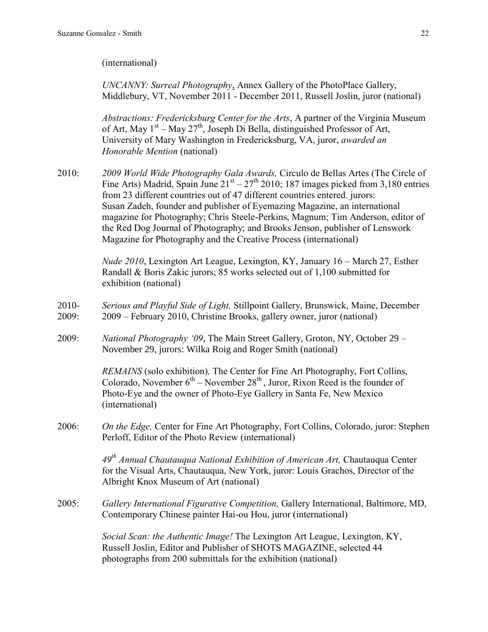(international)

*UNCANNY: Surreal Photography*, Annex Gallery of the PhotoPlace Gallery, Middlebury, VT, November 2011 - December 2011, Russell Joslin, juror (national)

*Abstractions: Fredericksburg Center for the Arts*, A partner of the Virginia Museum of Art, May  $1<sup>st</sup> - May 27<sup>th</sup>$ , Joseph Di Bella, distinguished Professor of Art, University of Mary Washington in Fredericksburg, VA, juror, *awarded an Honorable Mention* (national)

2010: *2009 World Wide Photography Gala Awards,* Circulo de Bellas Artes (The Circle of Fine Arts) Madrid, Spain June  $21^{st} - 27^{th}$  2010; 187 images picked from 3,180 entries from 23 different countries out of 47 different countries entered. jurors: Susan Zadeh, founder and publisher of Eyemazing Magazine, an international magazine for Photography; Chris Steele-Perkins, Magnum; Tim Anderson, editor of the Red Dog Journal of Photography; and Brooks Jenson, publisher of Lenswork Magazine for Photography and the Creative Process (international)

> *Nude 2010*, Lexington Art League, Lexington, KY, January 16 – March 27, Esther Randall & Boris Zakic jurors; 85 works selected out of 1,100 submitted for exhibition (national)

- 2010- *Serious and Playful Side of Light,* Stillpoint Gallery, Brunswick, Maine, December 2009: 2009 – February 2010, Christine Brooks, gallery owner, juror (national)
- 2009: *National Photography '09*, The Main Street Gallery, Groton, NY, October 29 November 29, jurors: Wilka Roig and Roger Smith (national)

*REMAINS* (solo exhibition)*,* The Center for Fine Art Photography, Fort Collins, Colorado, November  $6<sup>th</sup>$  – November  $28<sup>th</sup>$ , Juror, Rixon Reed is the founder of Photo-Eye and the owner of Photo-Eye Gallery in Santa Fe, New Mexico (international)

2006: *On the Edge,* Center for Fine Art Photography, Fort Collins, Colorado, juror: Stephen Perloff, Editor of the Photo Review (international)

> *49th Annual Chautauqua National Exhibition of American Art,* Chautauqua Center for the Visual Arts, Chautauqua, New York, juror: Louis Grachos, Director of the Albright Knox Museum of Art (national)

2005: *Gallery International Figurative Competition,* Gallery International, Baltimore, MD, Contemporary Chinese painter Hai-ou Hou, juror (international)

> *Social Scan: the Authentic Image!* The Lexington Art League, Lexington, KY, Russell Joslin, Editor and Publisher of SHOTS MAGAZINE, selected 44 photographs from 200 submittals for the exhibition (national)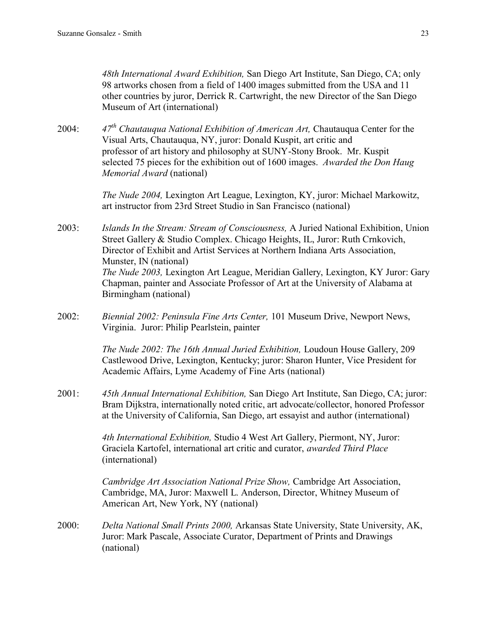*48th International Award Exhibition,* San Diego Art Institute, San Diego, CA; only 98 artworks chosen from a field of 1400 images submitted from the USA and 11 other countries by juror, Derrick R. Cartwright, the new Director of the San Diego Museum of Art (international)

2004: *47th Chautauqua National Exhibition of American Art,* Chautauqua Center for the Visual Arts, Chautauqua, NY, juror: Donald Kuspit, art critic and professor of art history and philosophy at SUNY-Stony Brook. Mr. Kuspit selected 75 pieces for the exhibition out of 1600 images. *Awarded the Don Haug Memorial Award* (national)

> *The Nude 2004,* Lexington Art League, Lexington, KY, juror: Michael Markowitz, art instructor from 23rd Street Studio in San Francisco (national)

2003: *Islands In the Stream: Stream of Consciousness,* A Juried National Exhibition, Union Street Gallery & Studio Complex. Chicago Heights, IL, Juror: Ruth Crnkovich, Director of Exhibit and Artist Services at Northern Indiana Arts Association, Munster, IN (national) *The Nude 2003,* Lexington Art League, Meridian Gallery, Lexington, KY Juror: Gary Chapman, painter and Associate Professor of Art at the University of Alabama at Birmingham (national)

2002: *Biennial 2002: Peninsula Fine Arts Center,* 101 Museum Drive, Newport News, Virginia. Juror: Philip Pearlstein, painter

> *The Nude 2002: The 16th Annual Juried Exhibition,* Loudoun House Gallery, 209 Castlewood Drive, Lexington, Kentucky; juror: Sharon Hunter, Vice President for Academic Affairs, Lyme Academy of Fine Arts (national)

2001: *45th Annual International Exhibition,* San Diego Art Institute, San Diego, CA; juror: Bram Dijkstra, internationally noted critic, art advocate/collector, honored Professor at the University of California, San Diego, art essayist and author (international)

> *4th International Exhibition,* Studio 4 West Art Gallery, Piermont, NY, Juror: Graciela Kartofel, international art critic and curator, *awarded Third Place*  (international)

> *Cambridge Art Association National Prize Show,* Cambridge Art Association, Cambridge, MA, Juror: Maxwell L. Anderson, Director, Whitney Museum of American Art, New York, NY (national)

2000: *Delta National Small Prints 2000,* Arkansas State University, State University, AK, Juror: Mark Pascale, Associate Curator, Department of Prints and Drawings (national)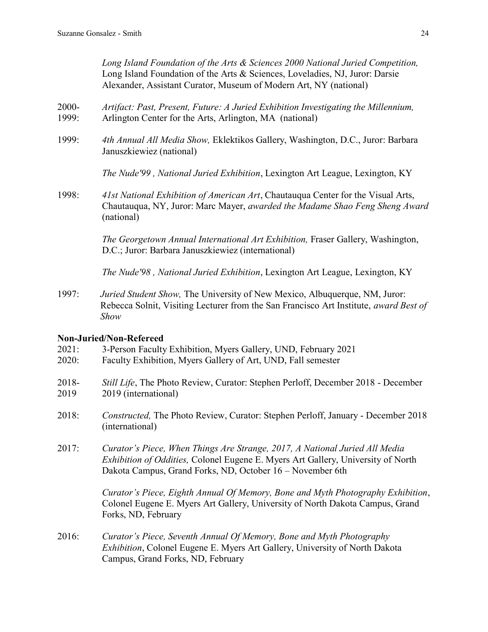1999: *4th Annual All Media Show,* Eklektikos Gallery, Washington, D.C., Juror: Barbara Januszkiewiez (national)

*The Nude'99 , National Juried Exhibition*, Lexington Art League, Lexington, KY

1998: *41st National Exhibition of American Art*, Chautauqua Center for the Visual Arts, Chautauqua, NY, Juror: Marc Mayer, *awarded the Madame Shao Feng Sheng Award* (national)

> *The Georgetown Annual International Art Exhibition,* Fraser Gallery, Washington, D.C.; Juror: Barbara Januszkiewiez (international)

*The Nude'98 , National Juried Exhibition*, Lexington Art League, Lexington, KY

1997: *Juried Student Show,* The University of New Mexico, Albuquerque, NM, Juror: Rebecca Solnit, Visiting Lecturer from the San Francisco Art Institute, *award Best of Show*

# **Non-Juried/Non-Refereed**

- 2021: 3-Person Faculty Exhibition, Myers Gallery, UND, February 2021
- 2020: Faculty Exhibition, Myers Gallery of Art, UND, Fall semester
- 2018- *Still Life*, The Photo Review, Curator: Stephen Perloff, December 2018 December 2019 2019 (international)
- 2018: *Constructed,* The Photo Review, Curator: Stephen Perloff, January December 2018 (international)
- 2017: *Curator's Piece, When Things Are Strange, 2017, A National Juried All Media Exhibition of Oddities,* Colonel Eugene E. Myers Art Gallery, University of North Dakota Campus, Grand Forks, ND, October 16 – November 6th

*Curator's Piece, Eighth Annual Of Memory, Bone and Myth Photography Exhibition*, Colonel Eugene E. Myers Art Gallery, University of North Dakota Campus, Grand Forks, ND, February

2016: *Curator's Piece, Seventh Annual Of Memory, Bone and Myth Photography Exhibition*, Colonel Eugene E. Myers Art Gallery, University of North Dakota Campus, Grand Forks, ND, February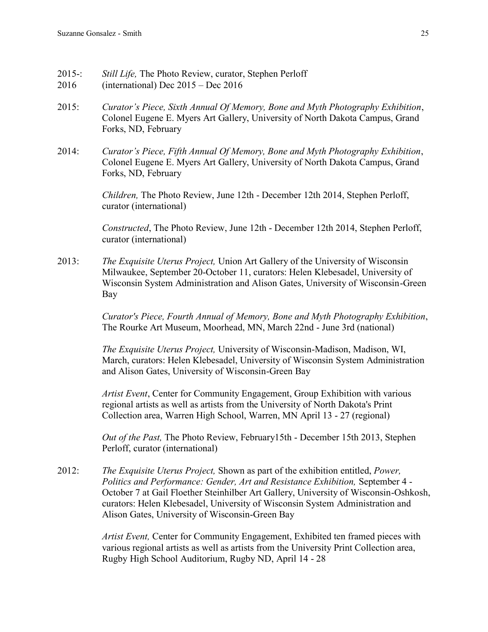- 2015-: *Still Life,* The Photo Review, curator, Stephen Perloff
- 2016 (international) Dec 2015 Dec 2016
- 2015: *Curator's Piece, Sixth Annual Of Memory, Bone and Myth Photography Exhibition*, Colonel Eugene E. Myers Art Gallery, University of North Dakota Campus, Grand Forks, ND, February
- 2014: *Curator's Piece, Fifth Annual Of Memory, Bone and Myth Photography Exhibition*, Colonel Eugene E. Myers Art Gallery, University of North Dakota Campus, Grand Forks, ND, February

*Children,* The Photo Review, June 12th - December 12th 2014, Stephen Perloff, curator (international)

*Constructed*, The Photo Review, June 12th - December 12th 2014, Stephen Perloff, curator (international)

2013: *The Exquisite Uterus Project,* Union Art Gallery [of the University of Wisconsin](http://www.aux.uwm.edu/union/art_gallery/)  [Milwaukee,](http://www.aux.uwm.edu/union/art_gallery/) September 20-October 11, curators: Helen Klebesadel, University of Wisconsin System Administration and Alison Gates, University of Wisconsin-Green Bay

> *Curator's Piece, Fourth Annual of Memory, Bone and Myth Photography Exhibition*, The Rourke Art Museum, Moorhead, MN, March 22nd - June 3rd (national)

> *The Exquisite Uterus Project,* University of Wisconsin-Madison, Madison, WI, March, curators: Helen Klebesadel, University of Wisconsin System Administration and Alison Gates, University of Wisconsin-Green Bay

*Artist Event*, Center for Community Engagement, Group Exhibition with various regional artists as well as artists from the University of North Dakota's Print Collection area, Warren High School, Warren, MN April 13 - 27 (regional)

*Out of the Past,* The Photo Review, February15th - December 15th 2013, Stephen Perloff, curator (international)

2012: *The Exquisite Uterus Project,* Shown as part of the exhibition entitled, *Power, Politics and Performance: Gender, Art and Resistance Exhibition,* September 4 - October 7 at Gail Floether Steinhilber Art Gallery, University of Wisconsin-Oshkosh, curators: Helen Klebesadel, University of Wisconsin System Administration and Alison Gates, University of Wisconsin-Green Bay

> *Artist Event,* Center for Community Engagement, Exhibited ten framed pieces with various regional artists as well as artists from the University Print Collection area, Rugby High School Auditorium, Rugby ND, April 14 - 28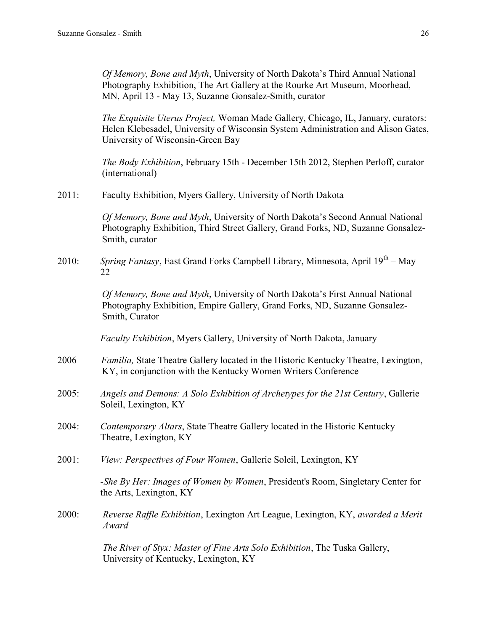*Of Memory, Bone and Myth*, University of North Dakota's Third Annual National Photography Exhibition, The Art Gallery at the Rourke Art Museum, Moorhead, MN, April 13 - May 13, Suzanne Gonsalez-Smith, curator

*The Exquisite Uterus Project,* Woman Made Gallery, Chicago, IL, January, curators: Helen Klebesadel, University of Wisconsin System Administration and Alison Gates, University of Wisconsin-Green Bay

*The Body Exhibition*, February 15th - December 15th 2012, Stephen Perloff, curator (international)

2011: Faculty Exhibition, Myers Gallery, University of North Dakota

*Of Memory, Bone and Myth*, University of North Dakota's Second Annual National Photography Exhibition, Third Street Gallery, Grand Forks, ND, Suzanne Gonsalez-Smith, curator

2010: *Spring Fantasy*, East Grand Forks Campbell Library, Minnesota, April 19<sup>th</sup> – May 22

> *Of Memory, Bone and Myth*, University of North Dakota's First Annual National Photography Exhibition, Empire Gallery, Grand Forks, ND, Suzanne Gonsalez-Smith, Curator

*Faculty Exhibition*, Myers Gallery, University of North Dakota, January

- 2006 *Familia,* State Theatre Gallery located in the Historic Kentucky Theatre, Lexington, KY, in conjunction with the Kentucky Women Writers Conference
- 2005: *Angels and Demons: A Solo Exhibition of Archetypes for the 21st Century*, Gallerie Soleil, Lexington, KY
- 2004: *Contemporary Altars*, State Theatre Gallery located in the Historic Kentucky Theatre, Lexington, KY
- 2001: *View: Perspectives of Four Women*, Gallerie Soleil, Lexington, KY

 *-She By Her: Images of Women by Women*, President's Room, Singletary Center for the Arts, Lexington, KY

2000: *Reverse Raffle Exhibition*, Lexington Art League, Lexington, KY, *awarded a Merit Award*

> *The River of Styx: Master of Fine Arts Solo Exhibition*, The Tuska Gallery, University of Kentucky, Lexington, KY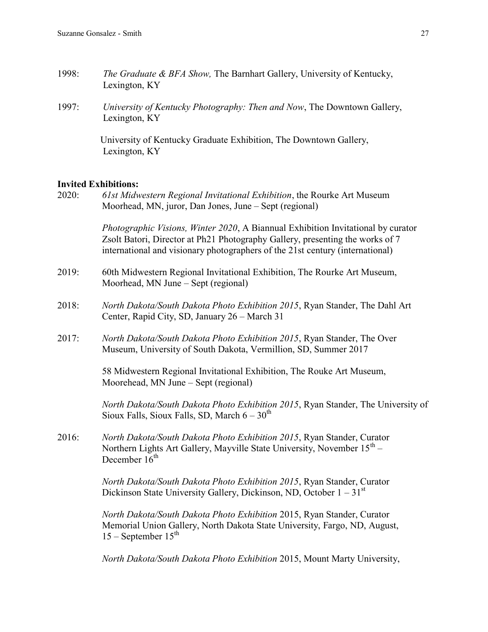- 1998: *The Graduate & BFA Show,* The Barnhart Gallery, University of Kentucky, Lexington, KY
- 1997: *University of Kentucky Photography: Then and Now*, The Downtown Gallery, Lexington, KY

 University of Kentucky Graduate Exhibition, The Downtown Gallery, Lexington, KY

#### **Invited Exhibitions:**

2020: *61st Midwestern Regional Invitational Exhibition*, the Rourke Art Museum Moorhead, MN, juror, Dan Jones, June – Sept (regional)

> *Photographic Visions, Winter 2020*, A Biannual Exhibition Invitational by curator Zsolt Batori, Director at Ph21 Photography Gallery, presenting the works of 7 international and visionary photographers of the 21st century (international)

- 2019: 60th Midwestern Regional Invitational Exhibition, The Rourke Art Museum, Moorhead, MN June – Sept (regional)
- 2018: *North Dakota/South Dakota Photo Exhibition 2015*, Ryan Stander, The Dahl Art Center, Rapid City, SD, January 26 – March 31
- 2017: *North Dakota/South Dakota Photo Exhibition 2015*, Ryan Stander, The Over Museum, University of South Dakota, Vermillion, SD, Summer 2017

58 Midwestern Regional Invitational Exhibition, The Rouke Art Museum, Moorehead, MN June – Sept (regional)

*North Dakota/South Dakota Photo Exhibition 2015*, Ryan Stander, The University of Sioux Falls, Sioux Falls, SD, March  $6 - 30<sup>th</sup>$ 

2016: *North Dakota/South Dakota Photo Exhibition 2015*, Ryan Stander, Curator Northern Lights Art Gallery, Mayville State University, November 15<sup>th</sup> – December  $16<sup>th</sup>$ 

> *North Dakota/South Dakota Photo Exhibition 2015*, Ryan Stander, Curator Dickinson State University Gallery, Dickinson, ND, October  $1 - 31<sup>st</sup>$

*North Dakota/South Dakota Photo Exhibition* 2015, Ryan Stander, Curator Memorial Union Gallery, North Dakota State University, Fargo, ND, August,  $15$  – September  $15<sup>th</sup>$ 

*North Dakota/South Dakota Photo Exhibition* 2015, Mount Marty University,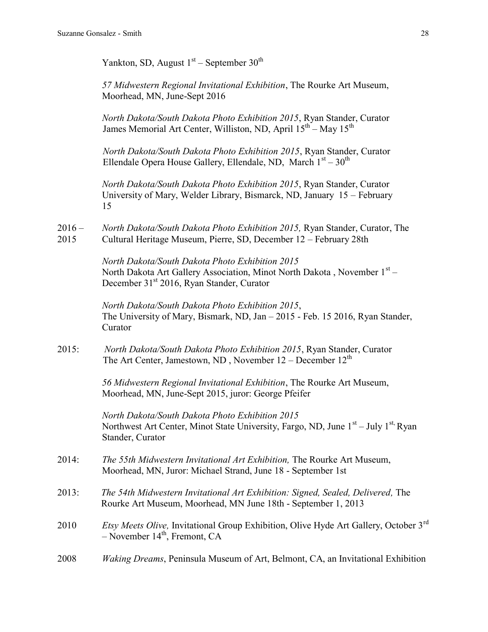Yankton, SD, August  $1<sup>st</sup>$  – September 30<sup>th</sup>

*57 Midwestern Regional Invitational Exhibition*, The Rourke Art Museum, Moorhead, MN, June-Sept 2016

*North Dakota/South Dakota Photo Exhibition 2015*, Ryan Stander, Curator James Memorial Art Center, Williston, ND, April  $15^{th}$  – May  $15^{th}$ 

 *North Dakota/South Dakota Photo Exhibition 2015*, Ryan Stander, Curator Ellendale Opera House Gallery, Ellendale, ND, March  $1<sup>st</sup> - 30<sup>th</sup>$ 

*North Dakota/South Dakota Photo Exhibition 2015*, Ryan Stander, Curator University of Mary, Welder Library, Bismarck, ND, January 15 – February 15

2016 – *North Dakota/South Dakota Photo Exhibition 2015,* Ryan Stander, Curator, The 2015 Cultural Heritage Museum, Pierre, SD, December 12 – February 28th

> *North Dakota/South Dakota Photo Exhibition 2015* North Dakota Art Gallery Association, Minot North Dakota, November 1st -December 31<sup>st</sup> 2016, Ryan Stander, Curator

*North Dakota/South Dakota Photo Exhibition 2015*, The University of Mary, Bismark, ND, Jan – 2015 - Feb. 15 2016, Ryan Stander, Curator

2015: *North Dakota/South Dakota Photo Exhibition 2015*, Ryan Stander, Curator The Art Center, Jamestown, ND, November  $12 -$ December  $12<sup>th</sup>$ 

> *56 Midwestern Regional Invitational Exhibition*, The Rourke Art Museum, Moorhead, MN, June-Sept 2015, juror: George Pfeifer

*North Dakota/South Dakota Photo Exhibition 2015* Northwest Art Center, Minot State University, Fargo, ND, June 1<sup>st</sup> – July 1<sup>st,</sup> Ryan Stander, Curator

- 2014: *The 55th Midwestern Invitational Art Exhibition,* The Rourke Art Museum, Moorhead, MN, Juror: Michael Strand, June 18 - September 1st
- 2013: *The 54th Midwestern Invitational Art Exhibition: Signed, Sealed, Delivered,* The Rourke Art Museum, Moorhead, MN June 18th - September 1, 2013
- 2010 *Etsy Meets Olive,* Invitational Group Exhibition, Olive Hyde Art Gallery, October 3rd  $-$  November 14<sup>th</sup>, Fremont, CA
- 2008 *Waking Dreams*, Peninsula Museum of Art, Belmont, CA, an Invitational Exhibition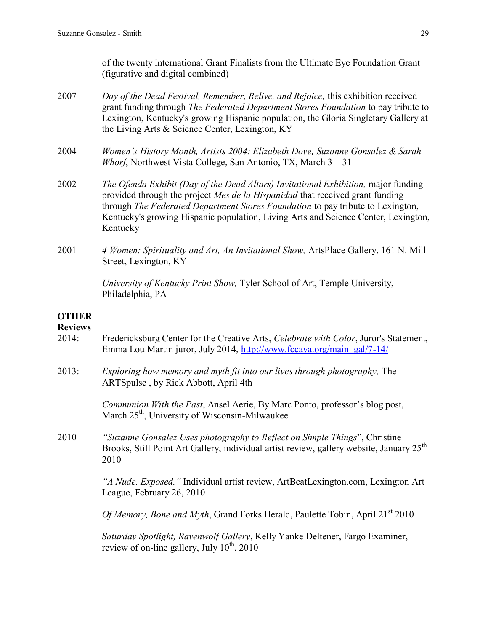of the twenty international Grant Finalists from the Ultimate Eye Foundation Grant (figurative and digital combined)

- 2007 *Day of the Dead Festival, Remember, Relive, and Rejoice,* this exhibition received grant funding through *The Federated Department Stores Foundation* to pay tribute to Lexington, Kentucky's growing Hispanic population, the Gloria Singletary Gallery at the Living Arts & Science Center, Lexington, KY
- 2004 *Women's History Month, Artists 2004: Elizabeth Dove, Suzanne Gonsalez & Sarah Whorf*, Northwest Vista College, San Antonio, TX, March 3 – 31
- 2002 *The Ofenda Exhibit (Day of the Dead Altars) Invitational Exhibition,* major funding provided through the project *Mes de la Hispanidad* that received grant funding through *The Federated Department Stores Foundation* to pay tribute to Lexington, Kentucky's growing Hispanic population, Living Arts and Science Center, Lexington, Kentucky
- 2001 *4 Women: Spirituality and Art, An Invitational Show,* ArtsPlace Gallery, 161 N. Mill Street, Lexington, KY

*University of Kentucky Print Show,* Tyler School of Art, Temple University, Philadelphia, PA

# **OTHER**

### **Reviews**

- 2014: Fredericksburg Center for the Creative Arts, *Celebrate with Color*, Juror's Statement, Emma Lou Martin juror, July 2014, [http://www.fccava.org/main\\_gal/7-14/](http://www.fccava.org/main_gal/7-14/)
- 2013: *Exploring how memory and myth fit into our lives through photography,* The ARTSpulse , by Rick Abbott, April 4th

*Communion With the Past*, Ansel Aerie, By Marc Ponto, professor's blog post, March 25<sup>th</sup>, University of Wisconsin-Milwaukee

2010 *"Suzanne Gonsalez Uses photography to Reflect on Simple Things*", Christine Brooks, Still Point Art Gallery, individual artist review, gallery website, January 25<sup>th</sup> 2010

> *"A Nude. Exposed."* Individual artist review, ArtBeatLexington.com, Lexington Art League, February 26, 2010

*Of Memory, Bone and Myth, Grand Forks Herald, Paulette Tobin, April* 21<sup>st</sup> 2010

*Saturday Spotlight, Ravenwolf Gallery*, Kelly Yanke Deltener, Fargo Examiner, review of on-line gallery, July  $10^{th}$ ,  $2010$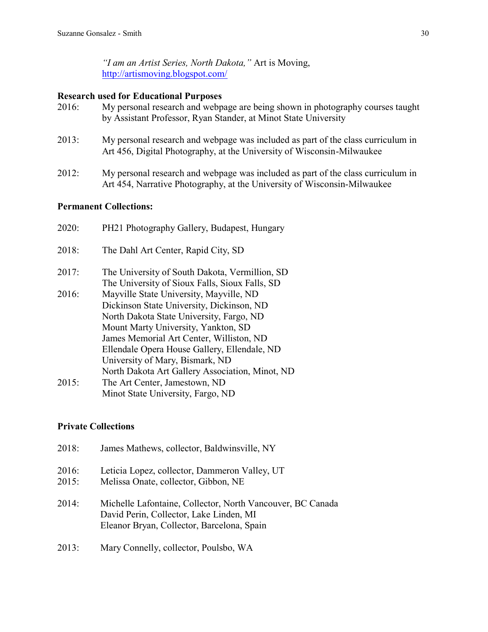*"I am an Artist Series, North Dakota,"* Art is Moving, <http://artismoving.blogspot.com/>

## **Research used for Educational Purposes**

- 2016: My personal research and webpage are being shown in photography courses taught by Assistant Professor, Ryan Stander, at Minot State University
- 2013: My personal research and webpage was included as part of the class curriculum in Art 456, Digital Photography, at the University of Wisconsin-Milwaukee
- 2012: My personal research and webpage was included as part of the class curriculum in Art 454, Narrative Photography, at the University of Wisconsin-Milwaukee

# **Permanent Collections:**

| 2020: | PH21 Photography Gallery, Budapest, Hungary                                                                                      |
|-------|----------------------------------------------------------------------------------------------------------------------------------|
| 2018: | The Dahl Art Center, Rapid City, SD                                                                                              |
| 2017: | The University of South Dakota, Vermillion, SD<br>The University of Sioux Falls, Sioux Falls, SD                                 |
| 2016: | Mayville State University, Mayville, ND<br>Dickinson State University, Dickinson, ND<br>North Dakota State University, Fargo, ND |
|       | Mount Marty University, Yankton, SD<br>James Memorial Art Center, Williston, ND                                                  |
|       | Ellendale Opera House Gallery, Ellendale, ND<br>University of Mary, Bismark, ND                                                  |
|       | North Dakota Art Gallery Association, Minot, ND                                                                                  |
| 2015: | The Art Center, Jamestown, ND                                                                                                    |
|       | Minot State University, Fargo, ND                                                                                                |
|       |                                                                                                                                  |

# **Private Collections**

| 2018:          | James Mathews, collector, Baldwinsville, NY                                                                                                         |
|----------------|-----------------------------------------------------------------------------------------------------------------------------------------------------|
| 2016:<br>2015: | Leticia Lopez, collector, Dammeron Valley, UT<br>Melissa Onate, collector, Gibbon, NE                                                               |
| 2014:          | Michelle Lafontaine, Collector, North Vancouver, BC Canada<br>David Perin, Collector, Lake Linden, MI<br>Eleanor Bryan, Collector, Barcelona, Spain |

2013: Mary Connelly, collector, Poulsbo, WA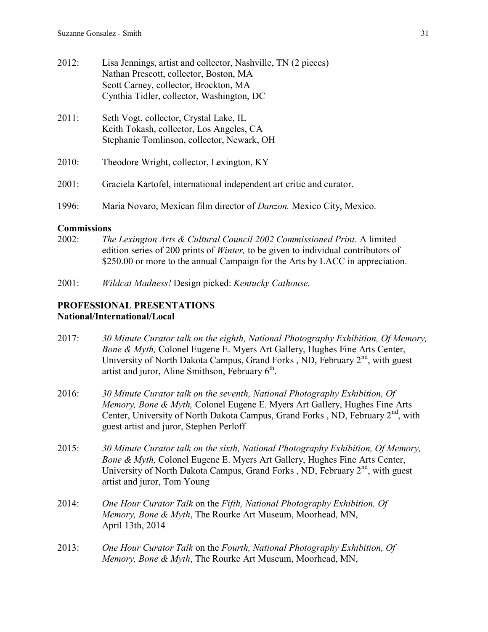| 2012: | Lisa Jennings, artist and collector, Nashville, TN (2 pieces)<br>Nathan Prescott, collector, Boston, MA<br>Scott Carney, collector, Brockton, MA<br>Cynthia Tidler, collector, Washington, DC |
|-------|-----------------------------------------------------------------------------------------------------------------------------------------------------------------------------------------------|
| 2011: | Seth Vogt, collector, Crystal Lake, IL<br>Keith Tokash, collector, Los Angeles, CA<br>Stephanie Tomlinson, collector, Newark, OH                                                              |
| 2010: | Theodore Wright, collector, Lexington, KY                                                                                                                                                     |
| 2001: | Graciela Kartofel, international independent art critic and curator.                                                                                                                          |
| 1996: | Maria Novaro, Mexican film director of <i>Danzon</i> . Mexico City, Mexico.                                                                                                                   |

# **Commissions**

- 2002: *The Lexington Arts & Cultural Council 2002 Commissioned Print.* A limited edition series of 200 prints of *Winter,* to be given to individual contributors of \$250.00 or more to the annual Campaign for the Arts by LACC in appreciation.
- 2001: *Wildcat Madness!* Design picked: *Kentucky Cathouse.*

# **PROFESSIONAL PRESENTATIONS National/International/Local**

- 2017: *30 Minute Curator talk on the eighth, National Photography Exhibition, Of Memory, Bone & Myth,* Colonel Eugene E. Myers Art Gallery, Hughes Fine Arts Center, University of North Dakota Campus, Grand Forks , ND, February 2<sup>nd</sup>, with guest artist and juror, Aline Smithson, February  $6<sup>th</sup>$ .
- 2016: *30 Minute Curator talk on the seventh, National Photography Exhibition, Of Memory, Bone & Myth,* Colonel Eugene E. Myers Art Gallery, Hughes Fine Arts Center, University of North Dakota Campus, Grand Forks, ND, February 2<sup>nd</sup>, with guest artist and juror, Stephen Perloff
- 2015: *30 Minute Curator talk on the sixth, National Photography Exhibition, Of Memory, Bone & Myth,* Colonel Eugene E. Myers Art Gallery, Hughes Fine Arts Center, University of North Dakota Campus, Grand Forks , ND, February 2<sup>nd</sup>, with guest artist and juror, Tom Young
- 2014: *One Hour Curator Talk* on the *Fifth, National Photography Exhibition, Of Memory, Bone & Myth*, The Rourke Art Museum, Moorhead, MN, April 13th, 2014
- 2013: *One Hour Curator Talk* on the *Fourth, National Photography Exhibition, Of Memory, Bone & Myth*, The Rourke Art Museum, Moorhead, MN,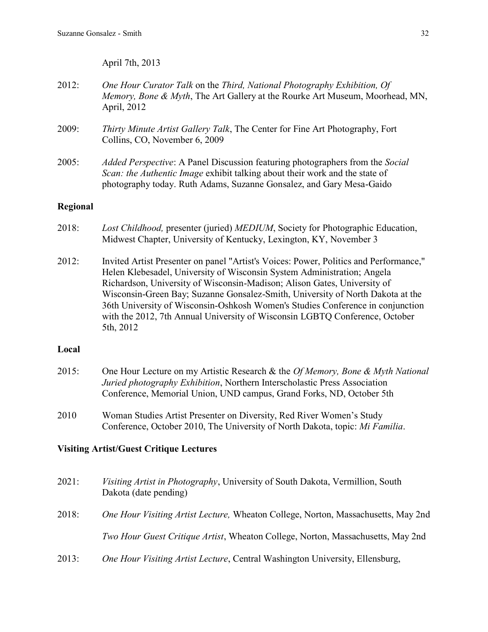April 7th, 2013

- 2012: *One Hour Curator Talk* on the *Third, National Photography Exhibition, Of Memory, Bone & Myth*, The Art Gallery at the Rourke Art Museum, Moorhead, MN, April, 2012
- 2009: *Thirty Minute Artist Gallery Talk*, The Center for Fine Art Photography, Fort Collins, CO, November 6, 2009
- 2005: *Added Perspective*: A Panel Discussion featuring photographers from the *Social Scan: the Authentic Image* exhibit talking about their work and the state of photography today. Ruth Adams, Suzanne Gonsalez, and Gary Mesa-Gaido

## **Regional**

- 2018: *Lost Childhood,* presenter (juried) *MEDIUM*, Society for Photographic Education, Midwest Chapter, University of Kentucky, Lexington, KY, November 3
- 2012: Invited Artist Presenter on panel "Artist's Voices: Power, Politics and Performance," Helen Klebesadel, University of Wisconsin System Administration; Angela Richardson, University of Wisconsin-Madison; Alison Gates, University of Wisconsin-Green Bay; Suzanne Gonsalez-Smith, University of North Dakota at the 36th University of Wisconsin-Oshkosh Women's Studies Conference in conjunction with the 2012, 7th Annual University of Wisconsin LGBTQ Conference, October 5th, 2012

### **Local**

- 2015: One Hour Lecture on my Artistic Research & the *Of Memory, Bone & Myth National Juried photography Exhibition*, Northern Interscholastic Press Association Conference, Memorial Union, UND campus, Grand Forks, ND, October 5th
- 2010 Woman Studies Artist Presenter on Diversity, Red River Women's Study Conference, October 2010, The University of North Dakota, topic: *Mi Familia*.

## **Visiting Artist/Guest Critique Lectures**

| 2021: | <i>Visiting Artist in Photography</i> , University of South Dakota, Vermillion, South<br>Dakota (date pending) |
|-------|----------------------------------------------------------------------------------------------------------------|
| 2018: | <i>One Hour Visiting Artist Lecture, Wheaton College, Norton, Massachusetts, May 2nd</i>                       |
|       | <i>Two Hour Guest Critique Artist</i> , Wheaton College, Norton, Massachusetts, May 2nd                        |
| 2013: | One Hour Visiting Artist Lecture, Central Washington University, Ellensburg,                                   |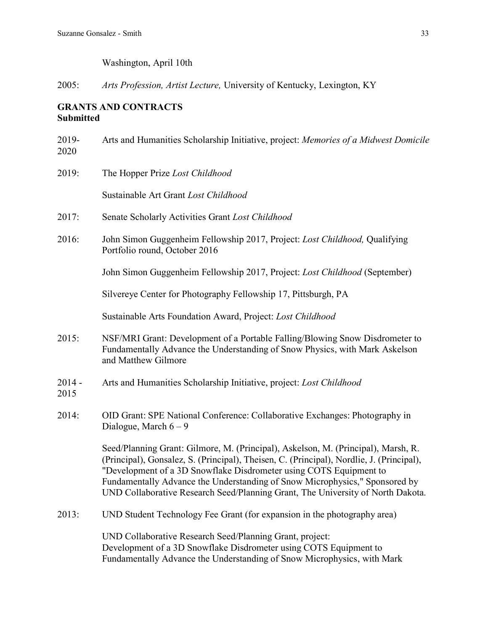Washington, April 10th

2005: *Arts Profession, Artist Lecture,* University of Kentucky, Lexington, KY

# **GRANTS AND CONTRACTS Submitted**

| 2019-<br>2020    | Arts and Humanities Scholarship Initiative, project: Memories of a Midwest Domicile                                                                                                                                                                                                                                                                                                                                   |
|------------------|-----------------------------------------------------------------------------------------------------------------------------------------------------------------------------------------------------------------------------------------------------------------------------------------------------------------------------------------------------------------------------------------------------------------------|
| 2019:            | The Hopper Prize Lost Childhood                                                                                                                                                                                                                                                                                                                                                                                       |
|                  | Sustainable Art Grant Lost Childhood                                                                                                                                                                                                                                                                                                                                                                                  |
| 2017:            | Senate Scholarly Activities Grant Lost Childhood                                                                                                                                                                                                                                                                                                                                                                      |
| 2016:            | John Simon Guggenheim Fellowship 2017, Project: Lost Childhood, Qualifying<br>Portfolio round, October 2016                                                                                                                                                                                                                                                                                                           |
|                  | John Simon Guggenheim Fellowship 2017, Project: Lost Childhood (September)                                                                                                                                                                                                                                                                                                                                            |
|                  | Silvereye Center for Photography Fellowship 17, Pittsburgh, PA                                                                                                                                                                                                                                                                                                                                                        |
|                  | Sustainable Arts Foundation Award, Project: Lost Childhood                                                                                                                                                                                                                                                                                                                                                            |
| 2015:            | NSF/MRI Grant: Development of a Portable Falling/Blowing Snow Disdrometer to<br>Fundamentally Advance the Understanding of Snow Physics, with Mark Askelson<br>and Matthew Gilmore                                                                                                                                                                                                                                    |
| $2014 -$<br>2015 | Arts and Humanities Scholarship Initiative, project: Lost Childhood                                                                                                                                                                                                                                                                                                                                                   |
| 2014:            | OID Grant: SPE National Conference: Collaborative Exchanges: Photography in<br>Dialogue, March $6 - 9$                                                                                                                                                                                                                                                                                                                |
|                  | Seed/Planning Grant: Gilmore, M. (Principal), Askelson, M. (Principal), Marsh, R.<br>(Principal), Gonsalez, S. (Principal), Theisen, C. (Principal), Nordlie, J. (Principal),<br>"Development of a 3D Snowflake Disdrometer using COTS Equipment to<br>Fundamentally Advance the Understanding of Snow Microphysics," Sponsored by<br>UND Collaborative Research Seed/Planning Grant, The University of North Dakota. |
| 2013:            | UND Student Technology Fee Grant (for expansion in the photography area)                                                                                                                                                                                                                                                                                                                                              |
|                  | UND Collaborative Research Seed/Planning Grant, project:<br>Development of a 3D Snowflake Disdrometer using COTS Equipment to<br>Fundamentally Advance the Understanding of Snow Microphysics, with Mark                                                                                                                                                                                                              |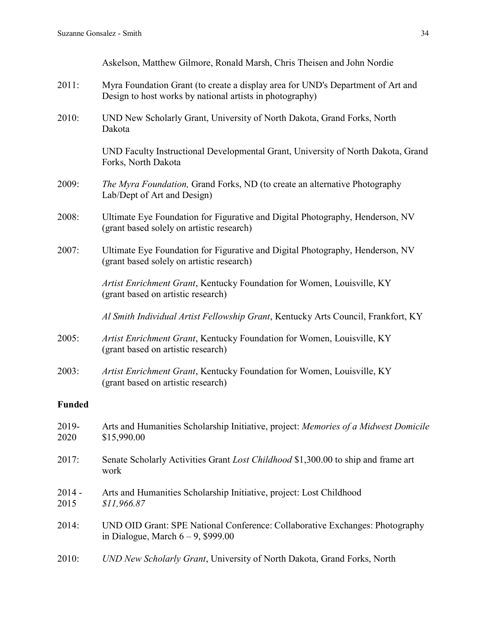Askelson, Matthew Gilmore, Ronald Marsh, Chris Theisen and John Nordie

- 2011: Myra Foundation Grant (to create a display area for UND's Department of Art and Design to host works by national artists in photography)
- 2010: UND New Scholarly Grant, University of North Dakota, Grand Forks, North Dakota

UND Faculty Instructional Developmental Grant, University of North Dakota, Grand Forks, North Dakota

- 2009: *The Myra Foundation,* Grand Forks, ND (to create an alternative Photography Lab/Dept of Art and Design)
- 2008: Ultimate Eye Foundation for Figurative and Digital Photography, Henderson, NV (grant based solely on artistic research)
- 2007: Ultimate Eye Foundation for Figurative and Digital Photography, Henderson, NV (grant based solely on artistic research)

*Artist Enrichment Grant*, Kentucky Foundation for Women, Louisville, KY (grant based on artistic research)

*Al Smith Individual Artist Fellowship Grant*, Kentucky Arts Council, Frankfort, KY

- 2005: *Artist Enrichment Grant*, Kentucky Foundation for Women, Louisville, KY (grant based on artistic research)
- 2003: *Artist Enrichment Grant*, Kentucky Foundation for Women, Louisville, KY (grant based on artistic research)

# **Funded**

| 2019-<br>2020    | Arts and Humanities Scholarship Initiative, project: Memories of a Midwest Domicile<br>\$15,990.00                    |
|------------------|-----------------------------------------------------------------------------------------------------------------------|
| 2017:            | Senate Scholarly Activities Grant <i>Lost Childhood</i> \$1,300.00 to ship and frame art<br>work                      |
| $2014 -$<br>2015 | Arts and Humanities Scholarship Initiative, project: Lost Childhood<br>\$11,966.87                                    |
| 2014:            | UND OID Grant: SPE National Conference: Collaborative Exchanges: Photography<br>in Dialogue, March $6 - 9$ , \$999.00 |
| 2010:            | UND New Scholarly Grant, University of North Dakota, Grand Forks, North                                               |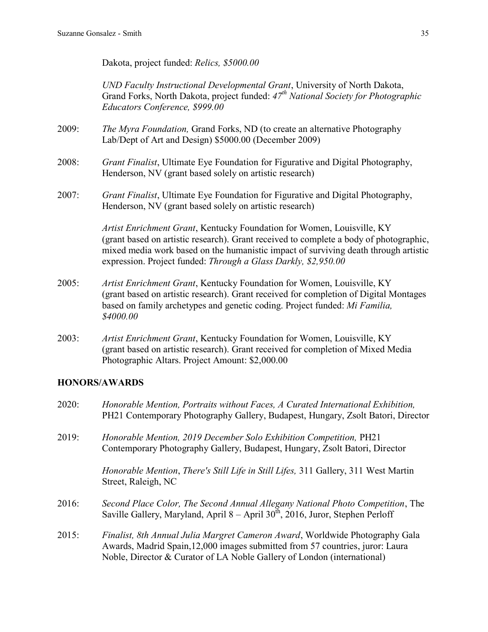Dakota, project funded: *Relics, \$5000.00*

*UND Faculty Instructional Developmental Grant*, University of North Dakota, Grand Forks, North Dakota, project funded: *47th National Society for Photographic Educators Conference, \$999.00*

- 2009: *The Myra Foundation,* Grand Forks, ND (to create an alternative Photography Lab/Dept of Art and Design) \$5000.00 (December 2009)
- 2008: *Grant Finalist*, Ultimate Eye Foundation for Figurative and Digital Photography, Henderson, NV (grant based solely on artistic research)
- 2007: *Grant Finalist*, Ultimate Eye Foundation for Figurative and Digital Photography, Henderson, NV (grant based solely on artistic research)

*Artist Enrichment Grant*, Kentucky Foundation for Women, Louisville, KY (grant based on artistic research). Grant received to complete a body of photographic, mixed media work based on the humanistic impact of surviving death through artistic expression. Project funded: *Through a Glass Darkly, \$2,950.00*

- 2005: *Artist Enrichment Grant*, Kentucky Foundation for Women, Louisville, KY (grant based on artistic research). Grant received for completion of Digital Montages based on family archetypes and genetic coding. Project funded: *Mi Familia, \$4000.00*
- 2003: *Artist Enrichment Grant*, Kentucky Foundation for Women, Louisville, KY (grant based on artistic research). Grant received for completion of Mixed Media Photographic Altars. Project Amount: \$2,000.00

# **HONORS/AWARDS**

- 2020: *Honorable Mention, Portraits without Faces, A Curated International Exhibition,*  PH21 Contemporary Photography Gallery, Budapest, Hungary, Zsolt Batori, Director
- 2019: *Honorable Mention, 2019 December Solo Exhibition Competition,* PH21 Contemporary Photography Gallery, Budapest, Hungary, Zsolt Batori, Director

*Honorable Mention*, *There's Still Life in Still Lifes,* 311 Gallery, 311 West Martin Street, Raleigh, NC

- 2016: *Second Place Color, The Second Annual Allegany National Photo Competition*, The Saville Gallery, Maryland, April 8 – April 30<sup>th</sup>, 2016, Juror, Stephen Perloff
- 2015: *Finalist, 8th Annual Julia Margret Cameron Award*, Worldwide Photography Gala Awards, Madrid Spain,12,000 images submitted from 57 countries, juror: Laura Noble, Director & Curator of LA Noble Gallery of London (international)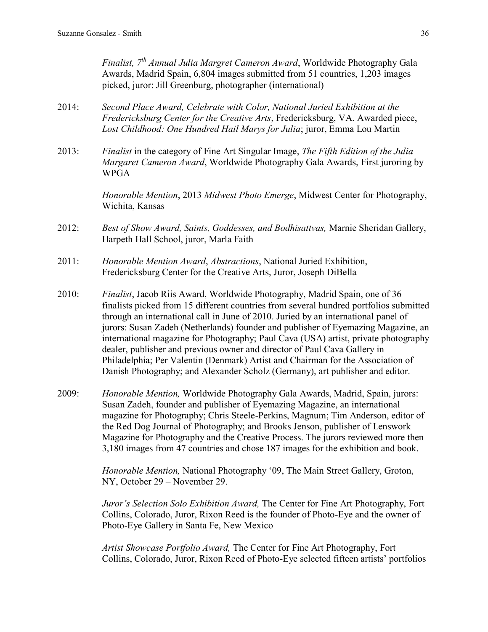*Finalist, 7th Annual Julia Margret Cameron Award*, Worldwide Photography Gala Awards, Madrid Spain, 6,804 images submitted from 51 countries, 1,203 images picked, juror: Jill Greenburg, photographer (international)

- 2014: *Second Place Award, Celebrate with Color, National Juried Exhibition at the Fredericksburg Center for the Creative Arts*, Fredericksburg, VA. Awarded piece, *Lost Childhood: One Hundred Hail Marys for Julia*; juror, Emma Lou Martin
- 2013: *Finalist* in the category of Fine Art Singular Image, *The Fifth Edition of the Julia Margaret Cameron Award*, Worldwide Photography Gala Awards, First juroring by WPGA

*Honorable Mention*, 2013 *Midwest Photo Emerge*, Midwest Center for Photography, Wichita, Kansas

- 2012: *Best of Show Award, Saints, Goddesses, and Bodhisattvas,* Marnie Sheridan Gallery, Harpeth Hall School, juror, Marla Faith
- 2011: *Honorable Mention Award*, *Abstractions*, National Juried Exhibition, Fredericksburg Center for the Creative Arts, Juror, Joseph DiBella
- 2010: *Finalist*, Jacob Riis Award, Worldwide Photography, Madrid Spain, one of 36 finalists picked from 15 different countries from several hundred portfolios submitted through an international call in June of 2010. Juried by an international panel of jurors: Susan Zadeh (Netherlands) founder and publisher of Eyemazing Magazine, an international magazine for Photography; Paul Cava (USA) artist, private photography dealer, publisher and previous owner and director of Paul Cava Gallery in Philadelphia; Per Valentin (Denmark) Artist and Chairman for the Association of Danish Photography; and Alexander Scholz (Germany), art publisher and editor.
- 2009: *Honorable Mention,* Worldwide Photography Gala Awards, Madrid, Spain, jurors: Susan Zadeh, founder and publisher of Eyemazing Magazine, an international magazine for Photography; Chris Steele-Perkins, Magnum; Tim Anderson, editor of the Red Dog Journal of Photography; and Brooks Jenson, publisher of Lenswork Magazine for Photography and the Creative Process. The jurors reviewed more then 3,180 images from 47 countries and chose 187 images for the exhibition and book.

*Honorable Mention,* National Photography '09, The Main Street Gallery, Groton, NY, October 29 – November 29.

*Juror's Selection Solo Exhibition Award,* The Center for Fine Art Photography, Fort Collins, Colorado, Juror, Rixon Reed is the founder of Photo-Eye and the owner of Photo-Eye Gallery in Santa Fe, New Mexico

*Artist Showcase Portfolio Award,* The Center for Fine Art Photography, Fort Collins, Colorado, Juror, Rixon Reed of Photo-Eye selected fifteen artists' portfolios